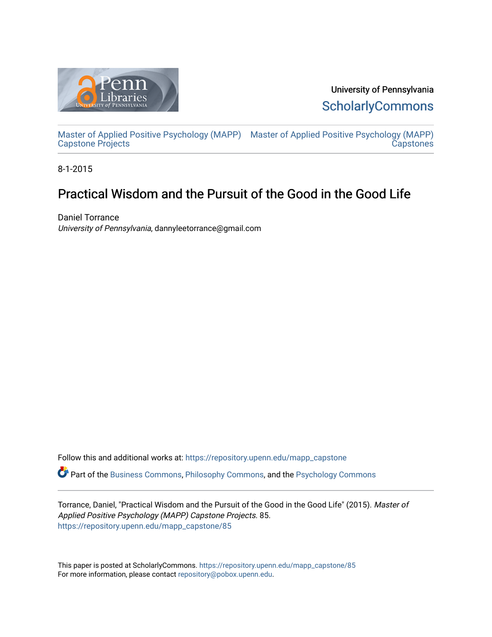

University of Pennsylvania **ScholarlyCommons** 

[Master of Applied Positive Psychology \(MAPP\)](https://repository.upenn.edu/mapp_capstone) [Master of Applied Positive Psychology \(MAPP\)](https://repository.upenn.edu/mapp_capstones)  Capstone Projects **Capstones** 

8-1-2015

# Practical Wisdom and the Pursuit of the Good in the Good Life

Daniel Torrance University of Pennsylvania, dannyleetorrance@gmail.com

Follow this and additional works at: [https://repository.upenn.edu/mapp\\_capstone](https://repository.upenn.edu/mapp_capstone?utm_source=repository.upenn.edu%2Fmapp_capstone%2F85&utm_medium=PDF&utm_campaign=PDFCoverPages)  Part of the [Business Commons](http://network.bepress.com/hgg/discipline/622?utm_source=repository.upenn.edu%2Fmapp_capstone%2F85&utm_medium=PDF&utm_campaign=PDFCoverPages), [Philosophy Commons](http://network.bepress.com/hgg/discipline/525?utm_source=repository.upenn.edu%2Fmapp_capstone%2F85&utm_medium=PDF&utm_campaign=PDFCoverPages), and the [Psychology Commons](http://network.bepress.com/hgg/discipline/404?utm_source=repository.upenn.edu%2Fmapp_capstone%2F85&utm_medium=PDF&utm_campaign=PDFCoverPages)

Torrance, Daniel, "Practical Wisdom and the Pursuit of the Good in the Good Life" (2015). Master of Applied Positive Psychology (MAPP) Capstone Projects. 85. [https://repository.upenn.edu/mapp\\_capstone/85](https://repository.upenn.edu/mapp_capstone/85?utm_source=repository.upenn.edu%2Fmapp_capstone%2F85&utm_medium=PDF&utm_campaign=PDFCoverPages)

This paper is posted at ScholarlyCommons. [https://repository.upenn.edu/mapp\\_capstone/85](https://repository.upenn.edu/mapp_capstone/85)  For more information, please contact [repository@pobox.upenn.edu.](mailto:repository@pobox.upenn.edu)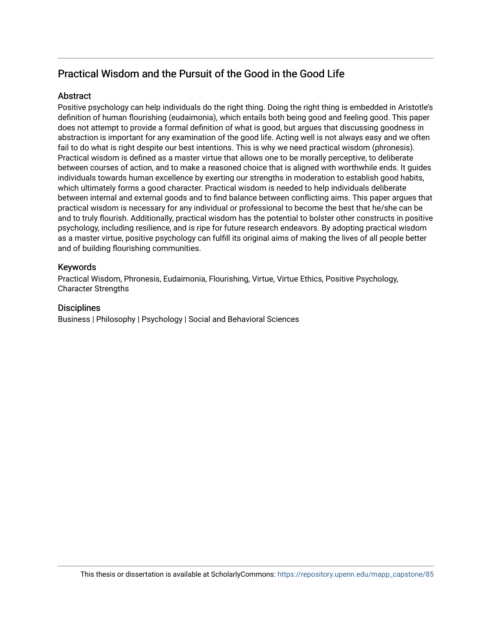# Practical Wisdom and the Pursuit of the Good in the Good Life

# **Abstract**

Positive psychology can help individuals do the right thing. Doing the right thing is embedded in Aristotle's definition of human flourishing (eudaimonia), which entails both being good and feeling good. This paper does not attempt to provide a formal definition of what is good, but argues that discussing goodness in abstraction is important for any examination of the good life. Acting well is not always easy and we often fail to do what is right despite our best intentions. This is why we need practical wisdom (phronesis). Practical wisdom is defined as a master virtue that allows one to be morally perceptive, to deliberate between courses of action, and to make a reasoned choice that is aligned with worthwhile ends. It guides individuals towards human excellence by exerting our strengths in moderation to establish good habits, which ultimately forms a good character. Practical wisdom is needed to help individuals deliberate between internal and external goods and to find balance between conflicting aims. This paper argues that practical wisdom is necessary for any individual or professional to become the best that he/she can be and to truly flourish. Additionally, practical wisdom has the potential to bolster other constructs in positive psychology, including resilience, and is ripe for future research endeavors. By adopting practical wisdom as a master virtue, positive psychology can fulfill its original aims of making the lives of all people better and of building flourishing communities.

# Keywords

Practical Wisdom, Phronesis, Eudaimonia, Flourishing, Virtue, Virtue Ethics, Positive Psychology, Character Strengths

# **Disciplines**

Business | Philosophy | Psychology | Social and Behavioral Sciences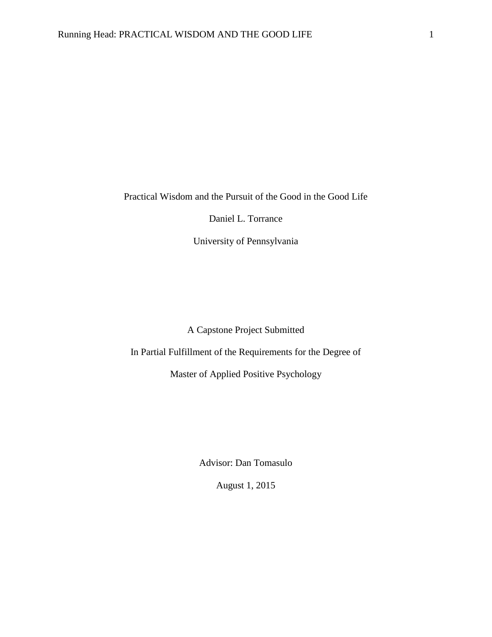Practical Wisdom and the Pursuit of the Good in the Good Life

Daniel L. Torrance

University of Pennsylvania

A Capstone Project Submitted

In Partial Fulfillment of the Requirements for the Degree of

Master of Applied Positive Psychology

Advisor: Dan Tomasulo

August 1, 2015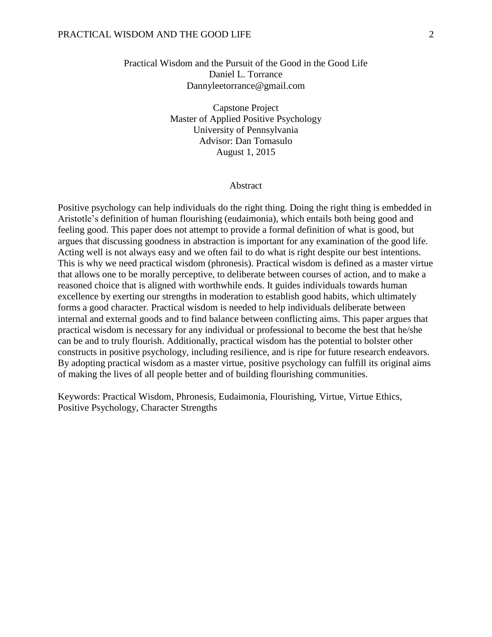# Practical Wisdom and the Pursuit of the Good in the Good Life Daniel L. Torrance Dannyleetorrance@gmail.com

Capstone Project Master of Applied Positive Psychology University of Pennsylvania Advisor: Dan Tomasulo August 1, 2015

#### Abstract

Positive psychology can help individuals do the right thing. Doing the right thing is embedded in Aristotle's definition of human flourishing (eudaimonia), which entails both being good and feeling good. This paper does not attempt to provide a formal definition of what is good, but argues that discussing goodness in abstraction is important for any examination of the good life. Acting well is not always easy and we often fail to do what is right despite our best intentions. This is why we need practical wisdom (phronesis). Practical wisdom is defined as a master virtue that allows one to be morally perceptive, to deliberate between courses of action, and to make a reasoned choice that is aligned with worthwhile ends. It guides individuals towards human excellence by exerting our strengths in moderation to establish good habits, which ultimately forms a good character. Practical wisdom is needed to help individuals deliberate between internal and external goods and to find balance between conflicting aims. This paper argues that practical wisdom is necessary for any individual or professional to become the best that he/she can be and to truly flourish. Additionally, practical wisdom has the potential to bolster other constructs in positive psychology, including resilience, and is ripe for future research endeavors. By adopting practical wisdom as a master virtue, positive psychology can fulfill its original aims of making the lives of all people better and of building flourishing communities.

Keywords: Practical Wisdom, Phronesis, Eudaimonia, Flourishing, Virtue, Virtue Ethics, Positive Psychology, Character Strengths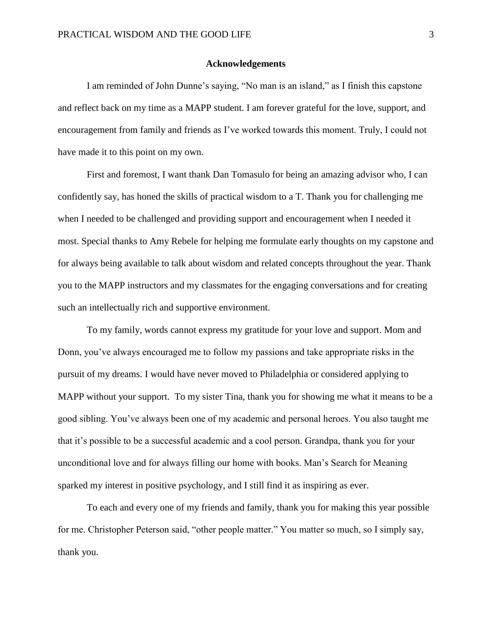#### **Acknowledgements**

I am reminded of John Dunne's saying, "No man is an island," as I finish this capstone and reflect back on my time as a MAPP student. I am forever grateful for the love, support, and encouragement from family and friends as I've worked towards this moment. Truly, I could not have made it to this point on my own.

First and foremost, I want thank Dan Tomasulo for being an amazing advisor who, I can confidently say, has honed the skills of practical wisdom to a T. Thank you for challenging me when I needed to be challenged and providing support and encouragement when I needed it most. Special thanks to Amy Rebele for helping me formulate early thoughts on my capstone and for always being available to talk about wisdom and related concepts throughout the year. Thank you to the MAPP instructors and my classmates for the engaging conversations and for creating such an intellectually rich and supportive environment.

To my family, words cannot express my gratitude for your love and support. Mom and Donn, you've always encouraged me to follow my passions and take appropriate risks in the pursuit of my dreams. I would have never moved to Philadelphia or considered applying to MAPP without your support. To my sister Tina, thank you for showing me what it means to be a good sibling. You've always been one of my academic and personal heroes. You also taught me that it's possible to be a successful academic and a cool person. Grandpa, thank you for your unconditional love and for always filling our home with books. Man's Search for Meaning sparked my interest in positive psychology, and I still find it as inspiring as ever.

To each and every one of my friends and family, thank you for making this year possible for me. Christopher Peterson said, "other people matter." You matter so much, so I simply say, thank you.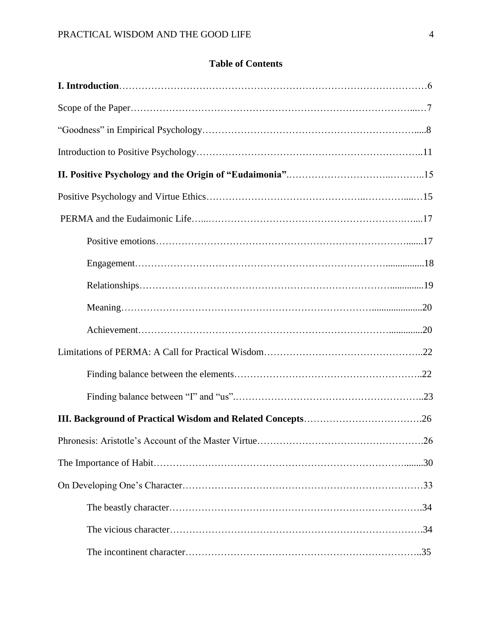# **Table of Contents**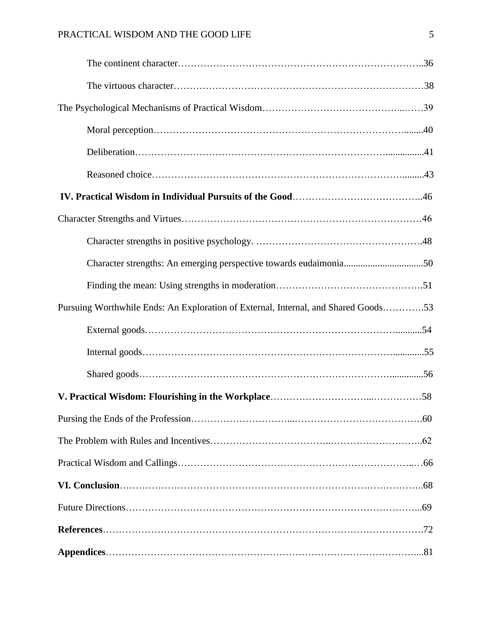| Pursuing Worthwhile Ends: An Exploration of External, Internal, and Shared Goods53 |  |
|------------------------------------------------------------------------------------|--|
|                                                                                    |  |
|                                                                                    |  |
|                                                                                    |  |
|                                                                                    |  |
|                                                                                    |  |
|                                                                                    |  |
|                                                                                    |  |
|                                                                                    |  |
|                                                                                    |  |
|                                                                                    |  |
|                                                                                    |  |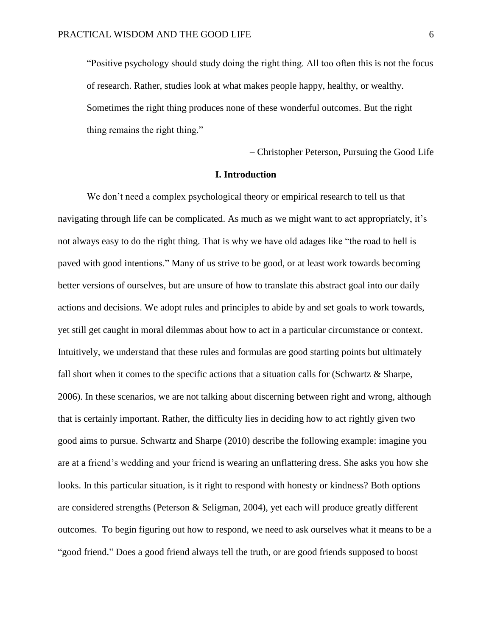"Positive psychology should study doing the right thing. All too often this is not the focus of research. Rather, studies look at what makes people happy, healthy, or wealthy. Sometimes the right thing produces none of these wonderful outcomes. But the right thing remains the right thing."

– Christopher Peterson, Pursuing the Good Life

#### **I. Introduction**

We don't need a complex psychological theory or empirical research to tell us that navigating through life can be complicated. As much as we might want to act appropriately, it's not always easy to do the right thing. That is why we have old adages like "the road to hell is paved with good intentions." Many of us strive to be good, or at least work towards becoming better versions of ourselves, but are unsure of how to translate this abstract goal into our daily actions and decisions. We adopt rules and principles to abide by and set goals to work towards, yet still get caught in moral dilemmas about how to act in a particular circumstance or context. Intuitively, we understand that these rules and formulas are good starting points but ultimately fall short when it comes to the specific actions that a situation calls for (Schwartz & Sharpe, 2006). In these scenarios, we are not talking about discerning between right and wrong, although that is certainly important. Rather, the difficulty lies in deciding how to act rightly given two good aims to pursue. Schwartz and Sharpe (2010) describe the following example: imagine you are at a friend's wedding and your friend is wearing an unflattering dress. She asks you how she looks. In this particular situation, is it right to respond with honesty or kindness? Both options are considered strengths (Peterson & Seligman, 2004), yet each will produce greatly different outcomes. To begin figuring out how to respond, we need to ask ourselves what it means to be a "good friend." Does a good friend always tell the truth, or are good friends supposed to boost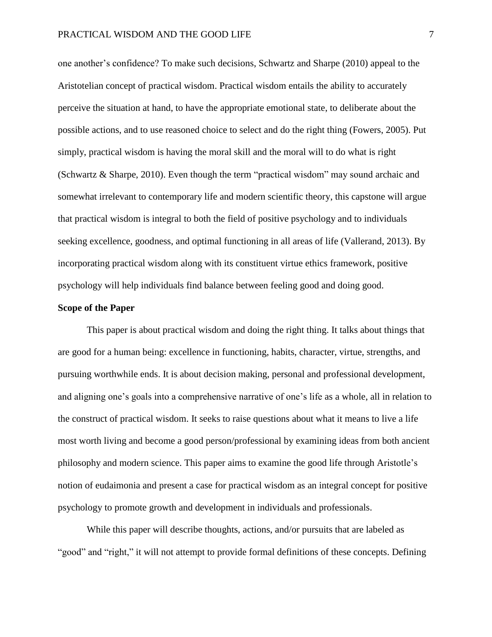one another's confidence? To make such decisions, Schwartz and Sharpe (2010) appeal to the Aristotelian concept of practical wisdom. Practical wisdom entails the ability to accurately perceive the situation at hand, to have the appropriate emotional state, to deliberate about the possible actions, and to use reasoned choice to select and do the right thing (Fowers, 2005). Put simply, practical wisdom is having the moral skill and the moral will to do what is right (Schwartz & Sharpe, 2010). Even though the term "practical wisdom" may sound archaic and somewhat irrelevant to contemporary life and modern scientific theory, this capstone will argue that practical wisdom is integral to both the field of positive psychology and to individuals seeking excellence, goodness, and optimal functioning in all areas of life (Vallerand, 2013). By incorporating practical wisdom along with its constituent virtue ethics framework, positive psychology will help individuals find balance between feeling good and doing good.

#### **Scope of the Paper**

This paper is about practical wisdom and doing the right thing. It talks about things that are good for a human being: excellence in functioning, habits, character, virtue, strengths, and pursuing worthwhile ends. It is about decision making, personal and professional development, and aligning one's goals into a comprehensive narrative of one's life as a whole, all in relation to the construct of practical wisdom. It seeks to raise questions about what it means to live a life most worth living and become a good person/professional by examining ideas from both ancient philosophy and modern science. This paper aims to examine the good life through Aristotle's notion of eudaimonia and present a case for practical wisdom as an integral concept for positive psychology to promote growth and development in individuals and professionals.

While this paper will describe thoughts, actions, and/or pursuits that are labeled as "good" and "right," it will not attempt to provide formal definitions of these concepts. Defining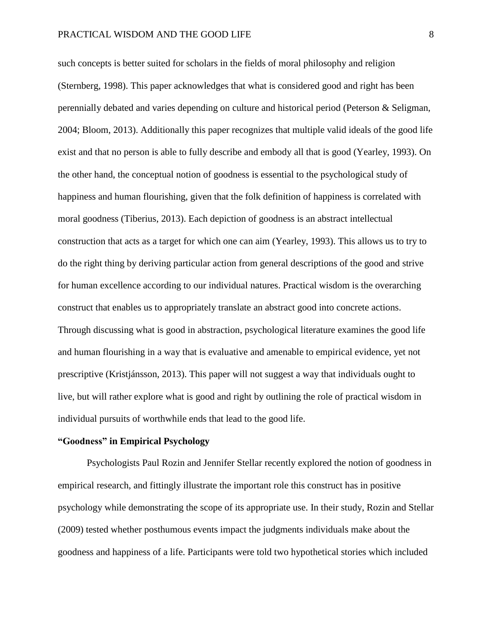such concepts is better suited for scholars in the fields of moral philosophy and religion (Sternberg, 1998). This paper acknowledges that what is considered good and right has been perennially debated and varies depending on culture and historical period (Peterson & Seligman, 2004; Bloom, 2013). Additionally this paper recognizes that multiple valid ideals of the good life exist and that no person is able to fully describe and embody all that is good (Yearley, 1993). On the other hand, the conceptual notion of goodness is essential to the psychological study of happiness and human flourishing, given that the folk definition of happiness is correlated with moral goodness (Tiberius, 2013). Each depiction of goodness is an abstract intellectual construction that acts as a target for which one can aim (Yearley, 1993). This allows us to try to do the right thing by deriving particular action from general descriptions of the good and strive for human excellence according to our individual natures. Practical wisdom is the overarching construct that enables us to appropriately translate an abstract good into concrete actions. Through discussing what is good in abstraction, psychological literature examines the good life and human flourishing in a way that is evaluative and amenable to empirical evidence, yet not prescriptive (Kristjánsson, 2013). This paper will not suggest a way that individuals ought to live, but will rather explore what is good and right by outlining the role of practical wisdom in individual pursuits of worthwhile ends that lead to the good life.

# **"Goodness" in Empirical Psychology**

Psychologists Paul Rozin and Jennifer Stellar recently explored the notion of goodness in empirical research, and fittingly illustrate the important role this construct has in positive psychology while demonstrating the scope of its appropriate use. In their study, Rozin and Stellar (2009) tested whether posthumous events impact the judgments individuals make about the goodness and happiness of a life. Participants were told two hypothetical stories which included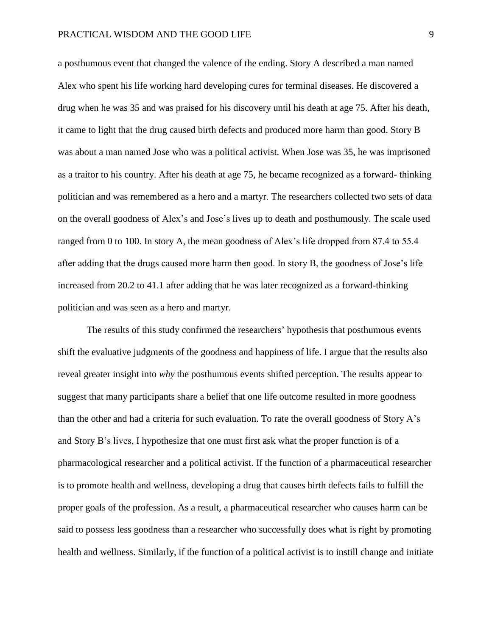a posthumous event that changed the valence of the ending. Story A described a man named Alex who spent his life working hard developing cures for terminal diseases. He discovered a drug when he was 35 and was praised for his discovery until his death at age 75. After his death, it came to light that the drug caused birth defects and produced more harm than good. Story B was about a man named Jose who was a political activist. When Jose was 35, he was imprisoned as a traitor to his country. After his death at age 75, he became recognized as a forward- thinking politician and was remembered as a hero and a martyr. The researchers collected two sets of data on the overall goodness of Alex's and Jose's lives up to death and posthumously. The scale used ranged from 0 to 100. In story A, the mean goodness of Alex's life dropped from 87.4 to 55.4 after adding that the drugs caused more harm then good. In story B, the goodness of Jose's life increased from 20.2 to 41.1 after adding that he was later recognized as a forward-thinking politician and was seen as a hero and martyr.

The results of this study confirmed the researchers' hypothesis that posthumous events shift the evaluative judgments of the goodness and happiness of life. I argue that the results also reveal greater insight into *why* the posthumous events shifted perception. The results appear to suggest that many participants share a belief that one life outcome resulted in more goodness than the other and had a criteria for such evaluation. To rate the overall goodness of Story A's and Story B's lives, I hypothesize that one must first ask what the proper function is of a pharmacological researcher and a political activist. If the function of a pharmaceutical researcher is to promote health and wellness, developing a drug that causes birth defects fails to fulfill the proper goals of the profession. As a result, a pharmaceutical researcher who causes harm can be said to possess less goodness than a researcher who successfully does what is right by promoting health and wellness. Similarly, if the function of a political activist is to instill change and initiate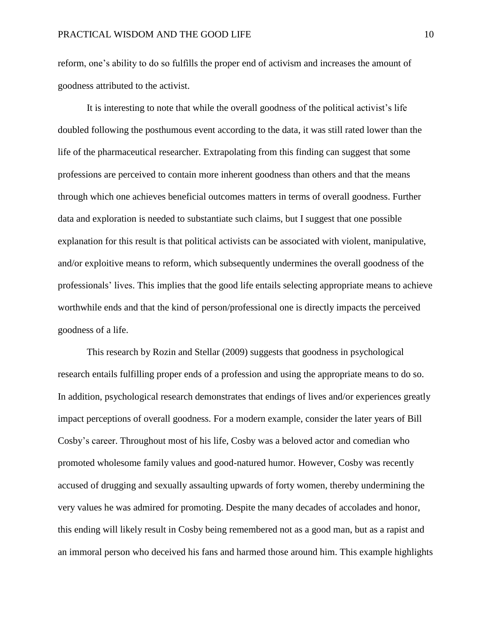reform, one's ability to do so fulfills the proper end of activism and increases the amount of goodness attributed to the activist.

It is interesting to note that while the overall goodness of the political activist's life doubled following the posthumous event according to the data, it was still rated lower than the life of the pharmaceutical researcher. Extrapolating from this finding can suggest that some professions are perceived to contain more inherent goodness than others and that the means through which one achieves beneficial outcomes matters in terms of overall goodness. Further data and exploration is needed to substantiate such claims, but I suggest that one possible explanation for this result is that political activists can be associated with violent, manipulative, and/or exploitive means to reform, which subsequently undermines the overall goodness of the professionals' lives. This implies that the good life entails selecting appropriate means to achieve worthwhile ends and that the kind of person/professional one is directly impacts the perceived goodness of a life.

This research by Rozin and Stellar (2009) suggests that goodness in psychological research entails fulfilling proper ends of a profession and using the appropriate means to do so. In addition, psychological research demonstrates that endings of lives and/or experiences greatly impact perceptions of overall goodness. For a modern example, consider the later years of Bill Cosby's career. Throughout most of his life, Cosby was a beloved actor and comedian who promoted wholesome family values and good-natured humor. However, Cosby was recently accused of drugging and sexually assaulting upwards of forty women, thereby undermining the very values he was admired for promoting. Despite the many decades of accolades and honor, this ending will likely result in Cosby being remembered not as a good man, but as a rapist and an immoral person who deceived his fans and harmed those around him. This example highlights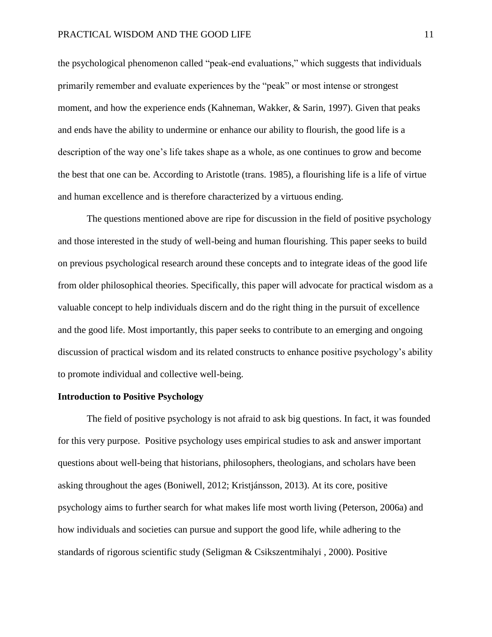the psychological phenomenon called "peak-end evaluations," which suggests that individuals primarily remember and evaluate experiences by the "peak" or most intense or strongest moment, and how the experience ends (Kahneman, Wakker, & Sarin, 1997). Given that peaks and ends have the ability to undermine or enhance our ability to flourish, the good life is a description of the way one's life takes shape as a whole, as one continues to grow and become the best that one can be. According to Aristotle (trans. 1985), a flourishing life is a life of virtue and human excellence and is therefore characterized by a virtuous ending.

The questions mentioned above are ripe for discussion in the field of positive psychology and those interested in the study of well-being and human flourishing. This paper seeks to build on previous psychological research around these concepts and to integrate ideas of the good life from older philosophical theories. Specifically, this paper will advocate for practical wisdom as a valuable concept to help individuals discern and do the right thing in the pursuit of excellence and the good life. Most importantly, this paper seeks to contribute to an emerging and ongoing discussion of practical wisdom and its related constructs to enhance positive psychology's ability to promote individual and collective well-being.

### **Introduction to Positive Psychology**

The field of positive psychology is not afraid to ask big questions. In fact, it was founded for this very purpose. Positive psychology uses empirical studies to ask and answer important questions about well-being that historians, philosophers, theologians, and scholars have been asking throughout the ages (Boniwell, 2012; Kristjánsson, 2013). At its core, positive psychology aims to further search for what makes life most worth living (Peterson, 2006a) and how individuals and societies can pursue and support the good life, while adhering to the standards of rigorous scientific study (Seligman & Csikszentmihalyi , 2000). Positive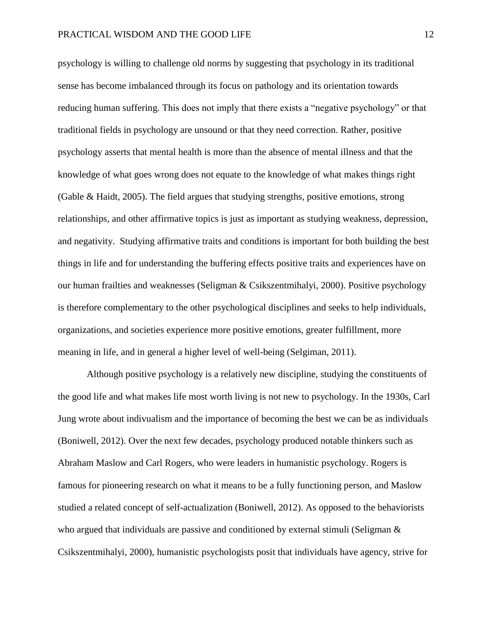psychology is willing to challenge old norms by suggesting that psychology in its traditional sense has become imbalanced through its focus on pathology and its orientation towards reducing human suffering. This does not imply that there exists a "negative psychology" or that traditional fields in psychology are unsound or that they need correction. Rather, positive psychology asserts that mental health is more than the absence of mental illness and that the knowledge of what goes wrong does not equate to the knowledge of what makes things right (Gable & Haidt, 2005). The field argues that studying strengths, positive emotions, strong relationships, and other affirmative topics is just as important as studying weakness, depression, and negativity. Studying affirmative traits and conditions is important for both building the best things in life and for understanding the buffering effects positive traits and experiences have on our human frailties and weaknesses (Seligman & Csikszentmihalyi, 2000). Positive psychology is therefore complementary to the other psychological disciplines and seeks to help individuals, organizations, and societies experience more positive emotions, greater fulfillment, more meaning in life, and in general a higher level of well-being (Selgiman, 2011).

Although positive psychology is a relatively new discipline, studying the constituents of the good life and what makes life most worth living is not new to psychology. In the 1930s, Carl Jung wrote about indivualism and the importance of becoming the best we can be as individuals (Boniwell, 2012). Over the next few decades, psychology produced notable thinkers such as Abraham Maslow and Carl Rogers, who were leaders in humanistic psychology. Rogers is famous for pioneering research on what it means to be a fully functioning person, and Maslow studied a related concept of self-actualization (Boniwell, 2012). As opposed to the behaviorists who argued that individuals are passive and conditioned by external stimuli (Seligman  $\&$ Csikszentmihalyi, 2000), humanistic psychologists posit that individuals have agency, strive for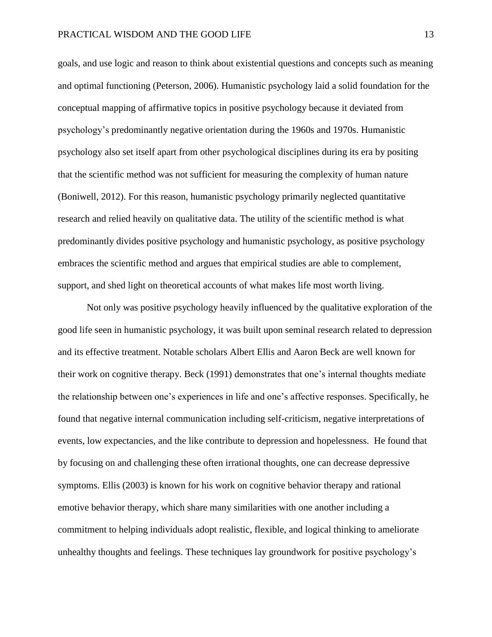goals, and use logic and reason to think about existential questions and concepts such as meaning and optimal functioning (Peterson, 2006). Humanistic psychology laid a solid foundation for the conceptual mapping of affirmative topics in positive psychology because it deviated from psychology's predominantly negative orientation during the 1960s and 1970s. Humanistic psychology also set itself apart from other psychological disciplines during its era by positing that the scientific method was not sufficient for measuring the complexity of human nature (Boniwell, 2012). For this reason, humanistic psychology primarily neglected quantitative research and relied heavily on qualitative data. The utility of the scientific method is what predominantly divides positive psychology and humanistic psychology, as positive psychology embraces the scientific method and argues that empirical studies are able to complement, support, and shed light on theoretical accounts of what makes life most worth living.

Not only was positive psychology heavily influenced by the qualitative exploration of the good life seen in humanistic psychology, it was built upon seminal research related to depression and its effective treatment. Notable scholars Albert Ellis and Aaron Beck are well known for their work on cognitive therapy. Beck (1991) demonstrates that one's internal thoughts mediate the relationship between one's experiences in life and one's affective responses. Specifically, he found that negative internal communication including self-criticism, negative interpretations of events, low expectancies, and the like contribute to depression and hopelessness. He found that by focusing on and challenging these often irrational thoughts, one can decrease depressive symptoms. Ellis (2003) is known for his work on cognitive behavior therapy and rational emotive behavior therapy, which share many similarities with one another including a commitment to helping individuals adopt realistic, flexible, and logical thinking to ameliorate unhealthy thoughts and feelings. These techniques lay groundwork for positive psychology's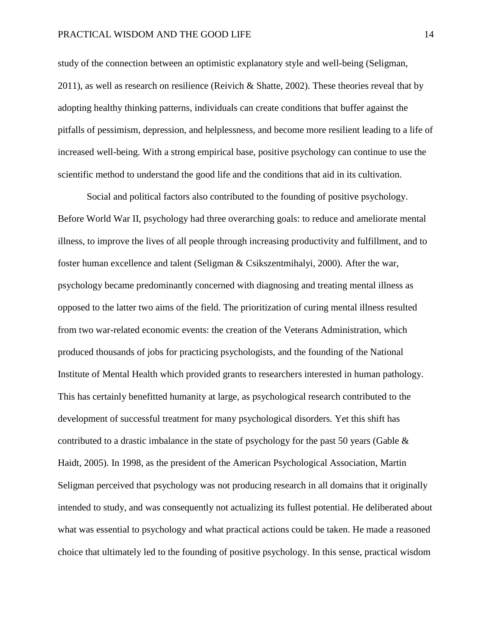study of the connection between an optimistic explanatory style and well-being (Seligman, 2011), as well as research on resilience (Reivich & Shatte, 2002). These theories reveal that by adopting healthy thinking patterns, individuals can create conditions that buffer against the pitfalls of pessimism, depression, and helplessness, and become more resilient leading to a life of increased well-being. With a strong empirical base, positive psychology can continue to use the scientific method to understand the good life and the conditions that aid in its cultivation.

Social and political factors also contributed to the founding of positive psychology. Before World War II, psychology had three overarching goals: to reduce and ameliorate mental illness, to improve the lives of all people through increasing productivity and fulfillment, and to foster human excellence and talent (Seligman & Csikszentmihalyi, 2000). After the war, psychology became predominantly concerned with diagnosing and treating mental illness as opposed to the latter two aims of the field. The prioritization of curing mental illness resulted from two war-related economic events: the creation of the Veterans Administration, which produced thousands of jobs for practicing psychologists, and the founding of the National Institute of Mental Health which provided grants to researchers interested in human pathology. This has certainly benefitted humanity at large, as psychological research contributed to the development of successful treatment for many psychological disorders. Yet this shift has contributed to a drastic imbalance in the state of psychology for the past 50 years (Gable & Haidt, 2005). In 1998, as the president of the American Psychological Association, Martin Seligman perceived that psychology was not producing research in all domains that it originally intended to study, and was consequently not actualizing its fullest potential. He deliberated about what was essential to psychology and what practical actions could be taken. He made a reasoned choice that ultimately led to the founding of positive psychology. In this sense, practical wisdom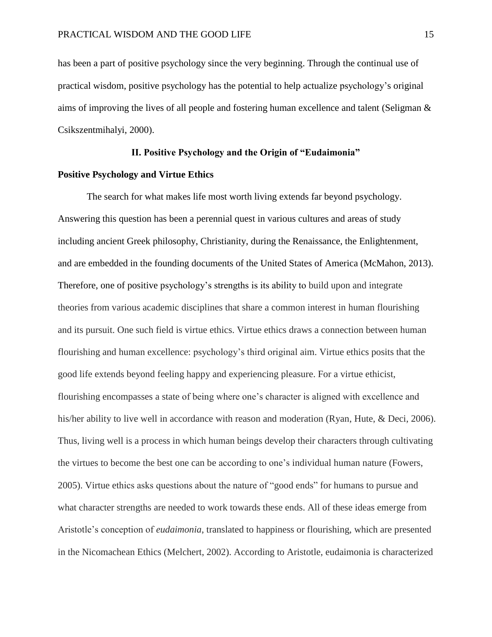has been a part of positive psychology since the very beginning. Through the continual use of practical wisdom, positive psychology has the potential to help actualize psychology's original aims of improving the lives of all people and fostering human excellence and talent (Seligman & Csikszentmihalyi, 2000).

#### **II. Positive Psychology and the Origin of "Eudaimonia"**

### **Positive Psychology and Virtue Ethics**

The search for what makes life most worth living extends far beyond psychology. Answering this question has been a perennial quest in various cultures and areas of study including ancient Greek philosophy, Christianity, during the Renaissance, the Enlightenment, and are embedded in the founding documents of the United States of America (McMahon, 2013). Therefore, one of positive psychology's strengths is its ability to build upon and integrate theories from various academic disciplines that share a common interest in human flourishing and its pursuit. One such field is virtue ethics. Virtue ethics draws a connection between human flourishing and human excellence: psychology's third original aim. Virtue ethics posits that the good life extends beyond feeling happy and experiencing pleasure. For a virtue ethicist, flourishing encompasses a state of being where one's character is aligned with excellence and his/her ability to live well in accordance with reason and moderation (Ryan, Hute, & Deci, 2006). Thus, living well is a process in which human beings develop their characters through cultivating the virtues to become the best one can be according to one's individual human nature (Fowers, 2005). Virtue ethics asks questions about the nature of "good ends" for humans to pursue and what character strengths are needed to work towards these ends. All of these ideas emerge from Aristotle's conception of *eudaimonia*, translated to happiness or flourishing, which are presented in the Nicomachean Ethics (Melchert, 2002). According to Aristotle, eudaimonia is characterized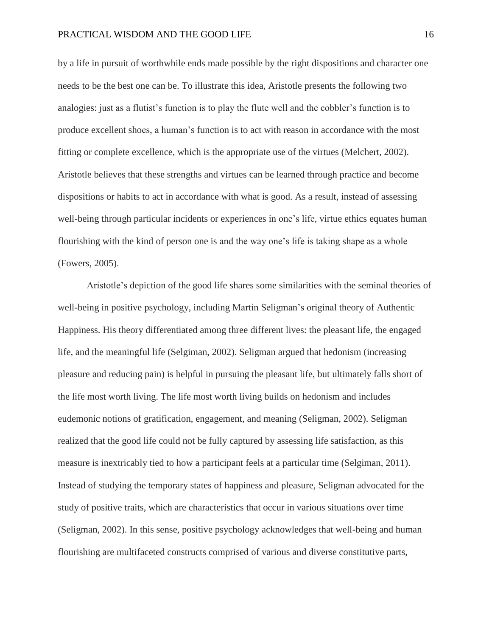by a life in pursuit of worthwhile ends made possible by the right dispositions and character one needs to be the best one can be. To illustrate this idea, Aristotle presents the following two analogies: just as a flutist's function is to play the flute well and the cobbler's function is to produce excellent shoes, a human's function is to act with reason in accordance with the most fitting or complete excellence, which is the appropriate use of the virtues (Melchert, 2002). Aristotle believes that these strengths and virtues can be learned through practice and become dispositions or habits to act in accordance with what is good. As a result, instead of assessing well-being through particular incidents or experiences in one's life, virtue ethics equates human flourishing with the kind of person one is and the way one's life is taking shape as a whole (Fowers, 2005).

Aristotle's depiction of the good life shares some similarities with the seminal theories of well-being in positive psychology, including Martin Seligman's original theory of Authentic Happiness. His theory differentiated among three different lives: the pleasant life, the engaged life, and the meaningful life (Selgiman, 2002). Seligman argued that hedonism (increasing pleasure and reducing pain) is helpful in pursuing the pleasant life, but ultimately falls short of the life most worth living. The life most worth living builds on hedonism and includes eudemonic notions of gratification, engagement, and meaning (Seligman, 2002). Seligman realized that the good life could not be fully captured by assessing life satisfaction, as this measure is inextricably tied to how a participant feels at a particular time (Selgiman, 2011). Instead of studying the temporary states of happiness and pleasure, Seligman advocated for the study of positive traits, which are characteristics that occur in various situations over time (Seligman, 2002). In this sense, positive psychology acknowledges that well-being and human flourishing are multifaceted constructs comprised of various and diverse constitutive parts,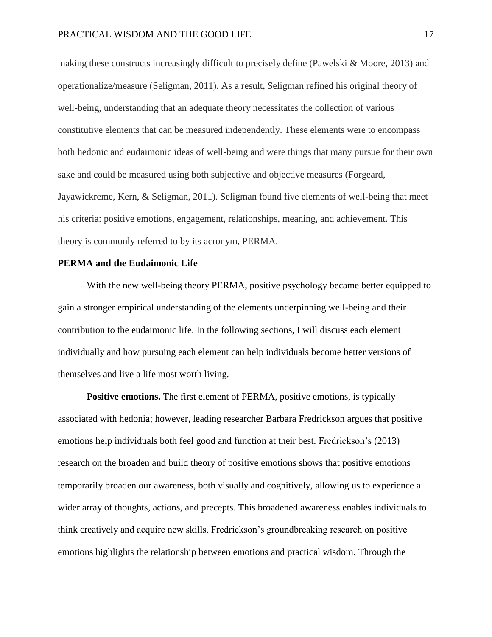making these constructs increasingly difficult to precisely define (Pawelski & Moore, 2013) and operationalize/measure (Seligman, 2011). As a result, Seligman refined his original theory of well-being, understanding that an adequate theory necessitates the collection of various constitutive elements that can be measured independently. These elements were to encompass both hedonic and eudaimonic ideas of well-being and were things that many pursue for their own sake and could be measured using both subjective and objective measures (Forgeard, Jayawickreme, Kern, & Seligman, 2011). Seligman found five elements of well-being that meet his criteria: positive emotions, engagement, relationships, meaning, and achievement. This theory is commonly referred to by its acronym, PERMA.

### **PERMA and the Eudaimonic Life**

With the new well-being theory PERMA, positive psychology became better equipped to gain a stronger empirical understanding of the elements underpinning well-being and their contribution to the eudaimonic life. In the following sections, I will discuss each element individually and how pursuing each element can help individuals become better versions of themselves and live a life most worth living.

**Positive emotions.** The first element of PERMA, positive emotions, is typically associated with hedonia; however, leading researcher Barbara Fredrickson argues that positive emotions help individuals both feel good and function at their best. Fredrickson's (2013) research on the broaden and build theory of positive emotions shows that positive emotions temporarily broaden our awareness, both visually and cognitively, allowing us to experience a wider array of thoughts, actions, and precepts. This broadened awareness enables individuals to think creatively and acquire new skills. Fredrickson's groundbreaking research on positive emotions highlights the relationship between emotions and practical wisdom. Through the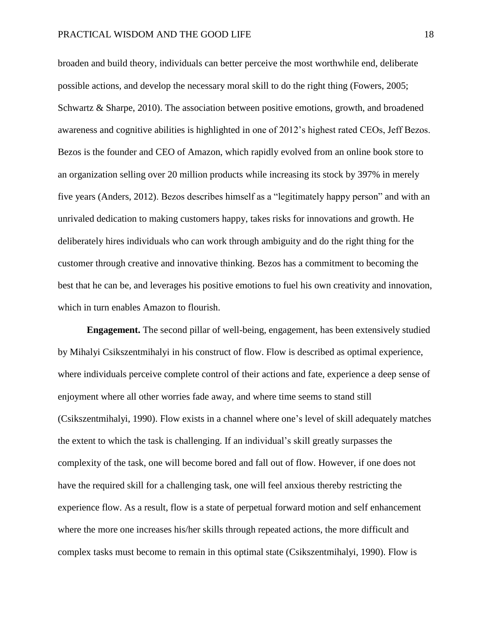broaden and build theory, individuals can better perceive the most worthwhile end, deliberate possible actions, and develop the necessary moral skill to do the right thing (Fowers, 2005; Schwartz & Sharpe, 2010). The association between positive emotions, growth, and broadened awareness and cognitive abilities is highlighted in one of 2012's highest rated CEOs, Jeff Bezos. Bezos is the founder and CEO of Amazon, which rapidly evolved from an online book store to an organization selling over 20 million products while increasing its stock by 397% in merely five years (Anders, 2012). Bezos describes himself as a "legitimately happy person" and with an unrivaled dedication to making customers happy, takes risks for innovations and growth. He deliberately hires individuals who can work through ambiguity and do the right thing for the customer through creative and innovative thinking. Bezos has a commitment to becoming the best that he can be, and leverages his positive emotions to fuel his own creativity and innovation, which in turn enables Amazon to flourish.

**Engagement.** The second pillar of well-being, engagement, has been extensively studied by Mihalyi Csikszentmihalyi in his construct of flow. Flow is described as optimal experience, where individuals perceive complete control of their actions and fate, experience a deep sense of enjoyment where all other worries fade away, and where time seems to stand still (Csikszentmihalyi, 1990). Flow exists in a channel where one's level of skill adequately matches the extent to which the task is challenging. If an individual's skill greatly surpasses the complexity of the task, one will become bored and fall out of flow. However, if one does not have the required skill for a challenging task, one will feel anxious thereby restricting the experience flow. As a result, flow is a state of perpetual forward motion and self enhancement where the more one increases his/her skills through repeated actions, the more difficult and complex tasks must become to remain in this optimal state (Csikszentmihalyi, 1990). Flow is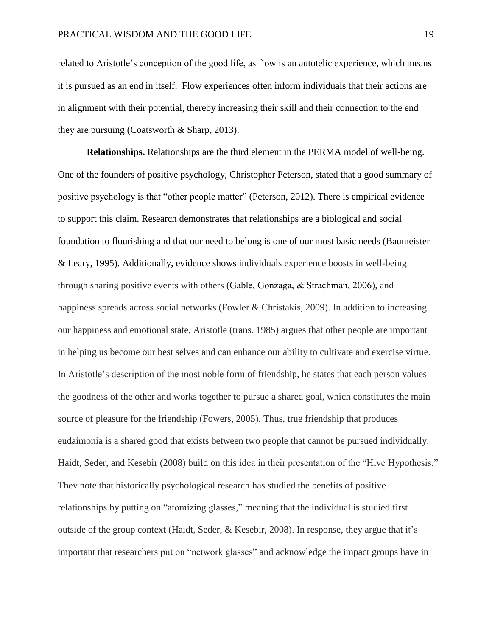related to Aristotle's conception of the good life, as flow is an autotelic experience, which means it is pursued as an end in itself. Flow experiences often inform individuals that their actions are in alignment with their potential, thereby increasing their skill and their connection to the end they are pursuing (Coatsworth & Sharp, 2013).

**Relationships.** Relationships are the third element in the PERMA model of well-being. One of the founders of positive psychology, Christopher Peterson, stated that a good summary of positive psychology is that "other people matter" (Peterson, 2012). There is empirical evidence to support this claim. Research demonstrates that relationships are a biological and social foundation to flourishing and that our need to belong is one of our most basic needs (Baumeister & Leary, 1995). Additionally, evidence shows individuals experience boosts in well-being through sharing positive events with others (Gable, Gonzaga, & Strachman, 2006), and happiness spreads across social networks (Fowler & Christakis, 2009). In addition to increasing our happiness and emotional state, Aristotle (trans. 1985) argues that other people are important in helping us become our best selves and can enhance our ability to cultivate and exercise virtue. In Aristotle's description of the most noble form of friendship, he states that each person values the goodness of the other and works together to pursue a shared goal, which constitutes the main source of pleasure for the friendship (Fowers, 2005). Thus, true friendship that produces eudaimonia is a shared good that exists between two people that cannot be pursued individually. Haidt, Seder, and Kesebir (2008) build on this idea in their presentation of the "Hive Hypothesis." They note that historically psychological research has studied the benefits of positive relationships by putting on "atomizing glasses," meaning that the individual is studied first outside of the group context (Haidt, Seder, & Kesebir, 2008). In response, they argue that it's important that researchers put on "network glasses" and acknowledge the impact groups have in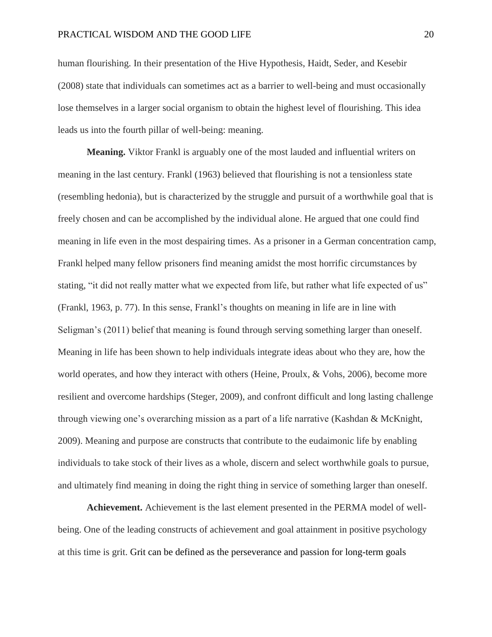human flourishing. In their presentation of the Hive Hypothesis, Haidt, Seder, and Kesebir (2008) state that individuals can sometimes act as a barrier to well-being and must occasionally lose themselves in a larger social organism to obtain the highest level of flourishing. This idea leads us into the fourth pillar of well-being: meaning.

**Meaning.** Viktor Frankl is arguably one of the most lauded and influential writers on meaning in the last century. Frankl (1963) believed that flourishing is not a tensionless state (resembling hedonia), but is characterized by the struggle and pursuit of a worthwhile goal that is freely chosen and can be accomplished by the individual alone. He argued that one could find meaning in life even in the most despairing times. As a prisoner in a German concentration camp, Frankl helped many fellow prisoners find meaning amidst the most horrific circumstances by stating, "it did not really matter what we expected from life, but rather what life expected of us" (Frankl, 1963, p. 77). In this sense, Frankl's thoughts on meaning in life are in line with Seligman's (2011) belief that meaning is found through serving something larger than oneself. Meaning in life has been shown to help individuals integrate ideas about who they are, how the world operates, and how they interact with others (Heine, Proulx, & Vohs, 2006), become more resilient and overcome hardships (Steger, 2009), and confront difficult and long lasting challenge through viewing one's overarching mission as a part of a life narrative (Kashdan & McKnight, 2009). Meaning and purpose are constructs that contribute to the eudaimonic life by enabling individuals to take stock of their lives as a whole, discern and select worthwhile goals to pursue, and ultimately find meaning in doing the right thing in service of something larger than oneself.

**Achievement.** Achievement is the last element presented in the PERMA model of wellbeing. One of the leading constructs of achievement and goal attainment in positive psychology at this time is grit. Grit can be defined as the perseverance and passion for long-term goals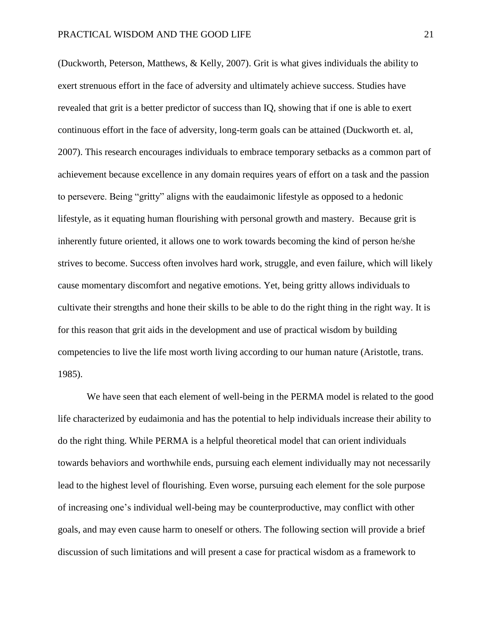(Duckworth, Peterson, Matthews, & Kelly, 2007). Grit is what gives individuals the ability to exert strenuous effort in the face of adversity and ultimately achieve success. Studies have revealed that grit is a better predictor of success than IQ, showing that if one is able to exert continuous effort in the face of adversity, long-term goals can be attained (Duckworth et. al, 2007). This research encourages individuals to embrace temporary setbacks as a common part of achievement because excellence in any domain requires years of effort on a task and the passion to persevere. Being "gritty" aligns with the eaudaimonic lifestyle as opposed to a hedonic lifestyle, as it equating human flourishing with personal growth and mastery. Because grit is inherently future oriented, it allows one to work towards becoming the kind of person he/she strives to become. Success often involves hard work, struggle, and even failure, which will likely cause momentary discomfort and negative emotions. Yet, being gritty allows individuals to cultivate their strengths and hone their skills to be able to do the right thing in the right way. It is for this reason that grit aids in the development and use of practical wisdom by building competencies to live the life most worth living according to our human nature (Aristotle, trans. 1985).

We have seen that each element of well-being in the PERMA model is related to the good life characterized by eudaimonia and has the potential to help individuals increase their ability to do the right thing. While PERMA is a helpful theoretical model that can orient individuals towards behaviors and worthwhile ends, pursuing each element individually may not necessarily lead to the highest level of flourishing. Even worse, pursuing each element for the sole purpose of increasing one's individual well-being may be counterproductive, may conflict with other goals, and may even cause harm to oneself or others. The following section will provide a brief discussion of such limitations and will present a case for practical wisdom as a framework to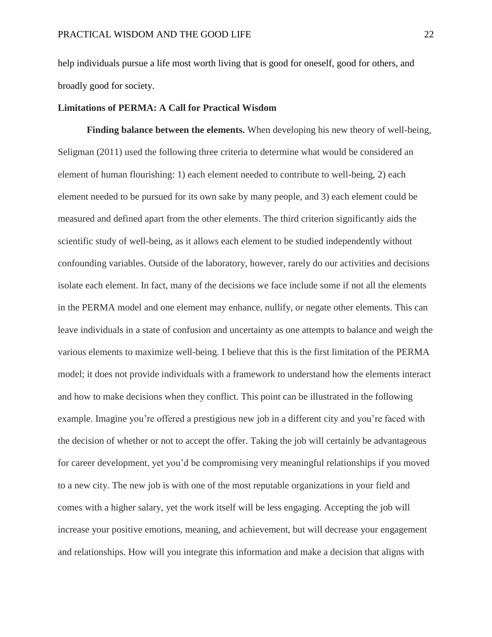help individuals pursue a life most worth living that is good for oneself, good for others, and broadly good for society.

# **Limitations of PERMA: A Call for Practical Wisdom**

**Finding balance between the elements.** When developing his new theory of well-being, Seligman (2011) used the following three criteria to determine what would be considered an element of human flourishing: 1) each element needed to contribute to well-being, 2) each element needed to be pursued for its own sake by many people, and 3) each element could be measured and defined apart from the other elements. The third criterion significantly aids the scientific study of well-being, as it allows each element to be studied independently without confounding variables. Outside of the laboratory, however, rarely do our activities and decisions isolate each element. In fact, many of the decisions we face include some if not all the elements in the PERMA model and one element may enhance, nullify, or negate other elements. This can leave individuals in a state of confusion and uncertainty as one attempts to balance and weigh the various elements to maximize well-being. I believe that this is the first limitation of the PERMA model; it does not provide individuals with a framework to understand how the elements interact and how to make decisions when they conflict. This point can be illustrated in the following example. Imagine you're offered a prestigious new job in a different city and you're faced with the decision of whether or not to accept the offer. Taking the job will certainly be advantageous for career development, yet you'd be compromising very meaningful relationships if you moved to a new city. The new job is with one of the most reputable organizations in your field and comes with a higher salary, yet the work itself will be less engaging. Accepting the job will increase your positive emotions, meaning, and achievement, but will decrease your engagement and relationships. How will you integrate this information and make a decision that aligns with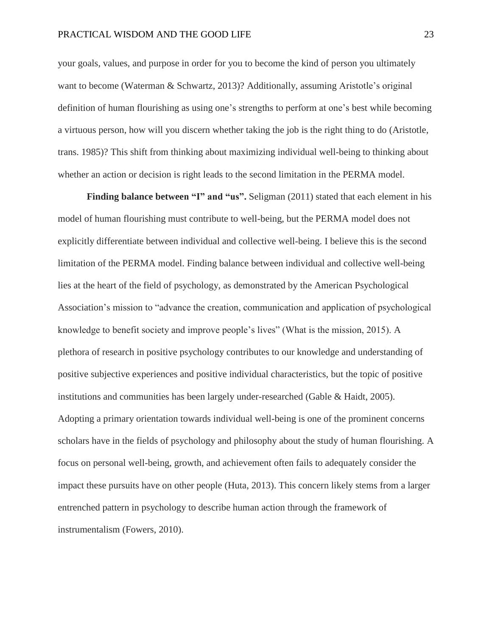#### PRACTICAL WISDOM AND THE GOOD LIFE 23

your goals, values, and purpose in order for you to become the kind of person you ultimately want to become (Waterman & Schwartz, 2013)? Additionally, assuming Aristotle's original definition of human flourishing as using one's strengths to perform at one's best while becoming a virtuous person, how will you discern whether taking the job is the right thing to do (Aristotle, trans. 1985)? This shift from thinking about maximizing individual well-being to thinking about whether an action or decision is right leads to the second limitation in the PERMA model.

**Finding balance between "I" and "us".** Seligman (2011) stated that each element in his model of human flourishing must contribute to well-being, but the PERMA model does not explicitly differentiate between individual and collective well-being. I believe this is the second limitation of the PERMA model. Finding balance between individual and collective well-being lies at the heart of the field of psychology, as demonstrated by the American Psychological Association's mission to "advance the creation, communication and application of psychological knowledge to benefit society and improve people's lives" (What is the mission, 2015). A plethora of research in positive psychology contributes to our knowledge and understanding of positive subjective experiences and positive individual characteristics, but the topic of positive institutions and communities has been largely under-researched (Gable & Haidt, 2005). Adopting a primary orientation towards individual well-being is one of the prominent concerns scholars have in the fields of psychology and philosophy about the study of human flourishing. A focus on personal well-being, growth, and achievement often fails to adequately consider the impact these pursuits have on other people (Huta, 2013). This concern likely stems from a larger entrenched pattern in psychology to describe human action through the framework of instrumentalism (Fowers, 2010).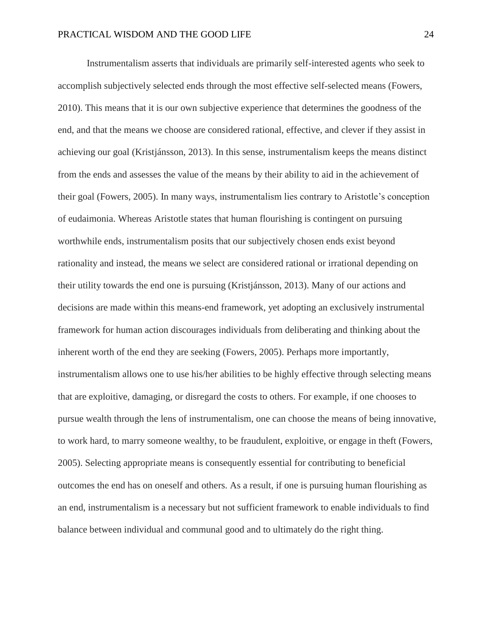Instrumentalism asserts that individuals are primarily self-interested agents who seek to accomplish subjectively selected ends through the most effective self-selected means (Fowers, 2010). This means that it is our own subjective experience that determines the goodness of the end, and that the means we choose are considered rational, effective, and clever if they assist in achieving our goal (Kristjánsson, 2013). In this sense, instrumentalism keeps the means distinct from the ends and assesses the value of the means by their ability to aid in the achievement of their goal (Fowers, 2005). In many ways, instrumentalism lies contrary to Aristotle's conception of eudaimonia. Whereas Aristotle states that human flourishing is contingent on pursuing worthwhile ends, instrumentalism posits that our subjectively chosen ends exist beyond rationality and instead, the means we select are considered rational or irrational depending on their utility towards the end one is pursuing (Kristjánsson, 2013). Many of our actions and decisions are made within this means-end framework, yet adopting an exclusively instrumental framework for human action discourages individuals from deliberating and thinking about the inherent worth of the end they are seeking (Fowers, 2005). Perhaps more importantly, instrumentalism allows one to use his/her abilities to be highly effective through selecting means that are exploitive, damaging, or disregard the costs to others. For example, if one chooses to pursue wealth through the lens of instrumentalism, one can choose the means of being innovative, to work hard, to marry someone wealthy, to be fraudulent, exploitive, or engage in theft (Fowers, 2005). Selecting appropriate means is consequently essential for contributing to beneficial outcomes the end has on oneself and others. As a result, if one is pursuing human flourishing as an end, instrumentalism is a necessary but not sufficient framework to enable individuals to find balance between individual and communal good and to ultimately do the right thing.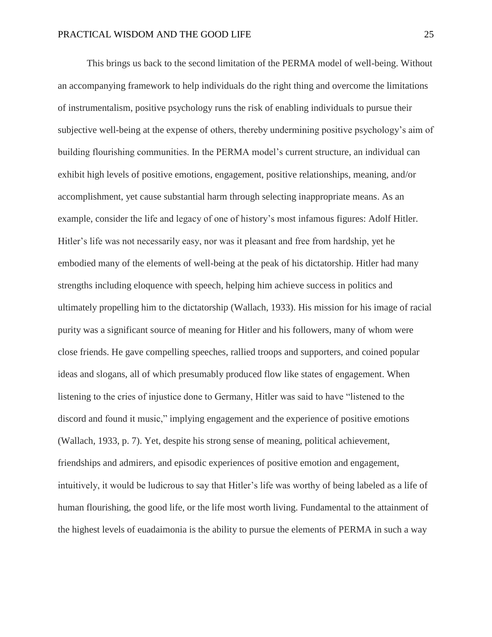This brings us back to the second limitation of the PERMA model of well-being. Without an accompanying framework to help individuals do the right thing and overcome the limitations of instrumentalism, positive psychology runs the risk of enabling individuals to pursue their subjective well-being at the expense of others, thereby undermining positive psychology's aim of building flourishing communities. In the PERMA model's current structure, an individual can exhibit high levels of positive emotions, engagement, positive relationships, meaning, and/or accomplishment, yet cause substantial harm through selecting inappropriate means. As an example, consider the life and legacy of one of history's most infamous figures: Adolf Hitler. Hitler's life was not necessarily easy, nor was it pleasant and free from hardship, yet he embodied many of the elements of well-being at the peak of his dictatorship. Hitler had many strengths including eloquence with speech, helping him achieve success in politics and ultimately propelling him to the dictatorship (Wallach, 1933). His mission for his image of racial purity was a significant source of meaning for Hitler and his followers, many of whom were close friends. He gave compelling speeches, rallied troops and supporters, and coined popular ideas and slogans, all of which presumably produced flow like states of engagement. When listening to the cries of injustice done to Germany, Hitler was said to have "listened to the discord and found it music," implying engagement and the experience of positive emotions (Wallach, 1933, p. 7). Yet, despite his strong sense of meaning, political achievement, friendships and admirers, and episodic experiences of positive emotion and engagement, intuitively, it would be ludicrous to say that Hitler's life was worthy of being labeled as a life of human flourishing, the good life, or the life most worth living. Fundamental to the attainment of the highest levels of euadaimonia is the ability to pursue the elements of PERMA in such a way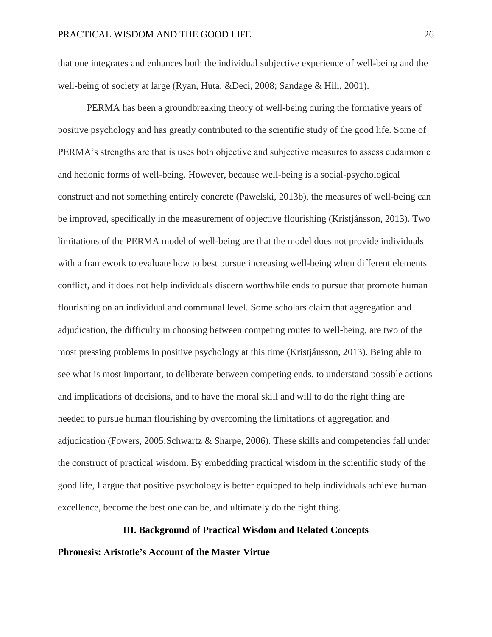that one integrates and enhances both the individual subjective experience of well-being and the well-being of society at large (Ryan, Huta, &Deci, 2008; Sandage & Hill, 2001).

PERMA has been a groundbreaking theory of well-being during the formative years of positive psychology and has greatly contributed to the scientific study of the good life. Some of PERMA's strengths are that is uses both objective and subjective measures to assess eudaimonic and hedonic forms of well-being. However, because well-being is a social-psychological construct and not something entirely concrete (Pawelski, 2013b), the measures of well-being can be improved, specifically in the measurement of objective flourishing (Kristjánsson, 2013). Two limitations of the PERMA model of well-being are that the model does not provide individuals with a framework to evaluate how to best pursue increasing well-being when different elements conflict, and it does not help individuals discern worthwhile ends to pursue that promote human flourishing on an individual and communal level. Some scholars claim that aggregation and adjudication, the difficulty in choosing between competing routes to well-being, are two of the most pressing problems in positive psychology at this time (Kristjánsson, 2013). Being able to see what is most important, to deliberate between competing ends, to understand possible actions and implications of decisions, and to have the moral skill and will to do the right thing are needed to pursue human flourishing by overcoming the limitations of aggregation and adjudication (Fowers, 2005;Schwartz & Sharpe, 2006). These skills and competencies fall under the construct of practical wisdom. By embedding practical wisdom in the scientific study of the good life, I argue that positive psychology is better equipped to help individuals achieve human excellence, become the best one can be, and ultimately do the right thing.

### **III. Background of Practical Wisdom and Related Concepts**

#### **Phronesis: Aristotle's Account of the Master Virtue**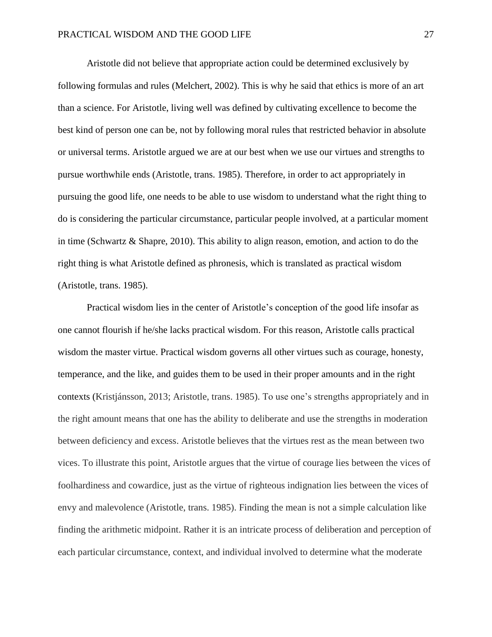Aristotle did not believe that appropriate action could be determined exclusively by following formulas and rules (Melchert, 2002). This is why he said that ethics is more of an art than a science. For Aristotle, living well was defined by cultivating excellence to become the best kind of person one can be, not by following moral rules that restricted behavior in absolute or universal terms. Aristotle argued we are at our best when we use our virtues and strengths to pursue worthwhile ends (Aristotle, trans. 1985). Therefore, in order to act appropriately in pursuing the good life, one needs to be able to use wisdom to understand what the right thing to do is considering the particular circumstance, particular people involved, at a particular moment in time (Schwartz & Shapre, 2010). This ability to align reason, emotion, and action to do the right thing is what Aristotle defined as phronesis, which is translated as practical wisdom (Aristotle, trans. 1985).

Practical wisdom lies in the center of Aristotle's conception of the good life insofar as one cannot flourish if he/she lacks practical wisdom. For this reason, Aristotle calls practical wisdom the master virtue. Practical wisdom governs all other virtues such as courage, honesty, temperance, and the like, and guides them to be used in their proper amounts and in the right contexts (Kristjánsson, 2013; Aristotle, trans. 1985). To use one's strengths appropriately and in the right amount means that one has the ability to deliberate and use the strengths in moderation between deficiency and excess. Aristotle believes that the virtues rest as the mean between two vices. To illustrate this point, Aristotle argues that the virtue of courage lies between the vices of foolhardiness and cowardice, just as the virtue of righteous indignation lies between the vices of envy and malevolence (Aristotle, trans. 1985). Finding the mean is not a simple calculation like finding the arithmetic midpoint. Rather it is an intricate process of deliberation and perception of each particular circumstance, context, and individual involved to determine what the moderate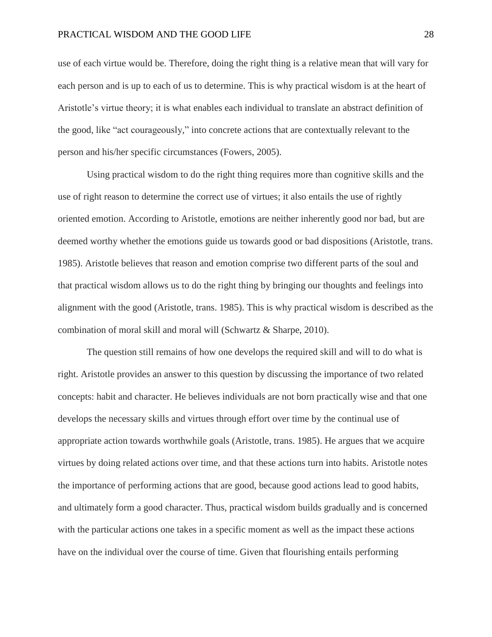use of each virtue would be. Therefore, doing the right thing is a relative mean that will vary for each person and is up to each of us to determine. This is why practical wisdom is at the heart of Aristotle's virtue theory; it is what enables each individual to translate an abstract definition of the good, like "act courageously," into concrete actions that are contextually relevant to the person and his/her specific circumstances (Fowers, 2005).

Using practical wisdom to do the right thing requires more than cognitive skills and the use of right reason to determine the correct use of virtues; it also entails the use of rightly oriented emotion. According to Aristotle, emotions are neither inherently good nor bad, but are deemed worthy whether the emotions guide us towards good or bad dispositions (Aristotle, trans. 1985). Aristotle believes that reason and emotion comprise two different parts of the soul and that practical wisdom allows us to do the right thing by bringing our thoughts and feelings into alignment with the good (Aristotle, trans. 1985). This is why practical wisdom is described as the combination of moral skill and moral will (Schwartz & Sharpe, 2010).

The question still remains of how one develops the required skill and will to do what is right. Aristotle provides an answer to this question by discussing the importance of two related concepts: habit and character. He believes individuals are not born practically wise and that one develops the necessary skills and virtues through effort over time by the continual use of appropriate action towards worthwhile goals (Aristotle, trans. 1985). He argues that we acquire virtues by doing related actions over time, and that these actions turn into habits. Aristotle notes the importance of performing actions that are good, because good actions lead to good habits, and ultimately form a good character. Thus, practical wisdom builds gradually and is concerned with the particular actions one takes in a specific moment as well as the impact these actions have on the individual over the course of time. Given that flourishing entails performing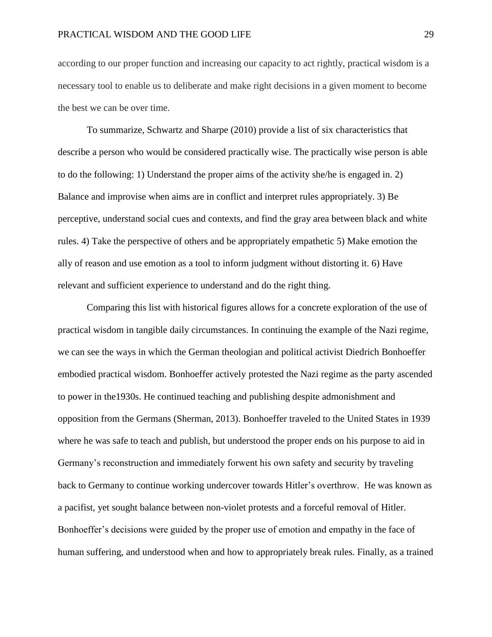according to our proper function and increasing our capacity to act rightly, practical wisdom is a necessary tool to enable us to deliberate and make right decisions in a given moment to become the best we can be over time.

To summarize, Schwartz and Sharpe (2010) provide a list of six characteristics that describe a person who would be considered practically wise. The practically wise person is able to do the following: 1) Understand the proper aims of the activity she/he is engaged in. 2) Balance and improvise when aims are in conflict and interpret rules appropriately. 3) Be perceptive, understand social cues and contexts, and find the gray area between black and white rules. 4) Take the perspective of others and be appropriately empathetic 5) Make emotion the ally of reason and use emotion as a tool to inform judgment without distorting it. 6) Have relevant and sufficient experience to understand and do the right thing.

Comparing this list with historical figures allows for a concrete exploration of the use of practical wisdom in tangible daily circumstances. In continuing the example of the Nazi regime, we can see the ways in which the German theologian and political activist Diedrich Bonhoeffer embodied practical wisdom. Bonhoeffer actively protested the Nazi regime as the party ascended to power in the1930s. He continued teaching and publishing despite admonishment and opposition from the Germans (Sherman, 2013). Bonhoeffer traveled to the United States in 1939 where he was safe to teach and publish, but understood the proper ends on his purpose to aid in Germany's reconstruction and immediately forwent his own safety and security by traveling back to Germany to continue working undercover towards Hitler's overthrow. He was known as a pacifist, yet sought balance between non-violet protests and a forceful removal of Hitler. Bonhoeffer's decisions were guided by the proper use of emotion and empathy in the face of human suffering, and understood when and how to appropriately break rules. Finally, as a trained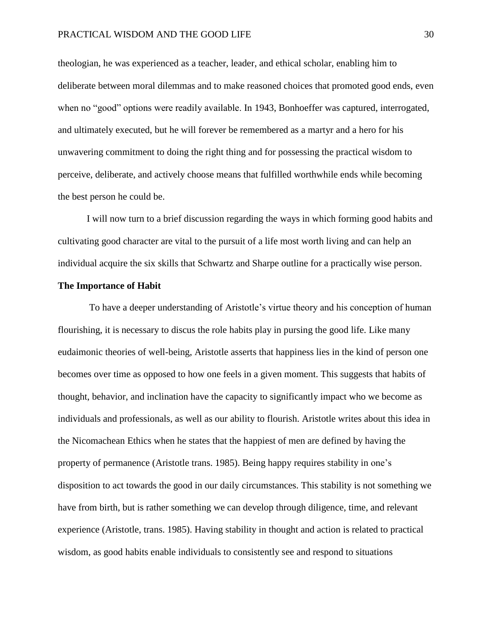theologian, he was experienced as a teacher, leader, and ethical scholar, enabling him to deliberate between moral dilemmas and to make reasoned choices that promoted good ends, even when no "good" options were readily available. In 1943, Bonhoeffer was captured, interrogated, and ultimately executed, but he will forever be remembered as a martyr and a hero for his unwavering commitment to doing the right thing and for possessing the practical wisdom to perceive, deliberate, and actively choose means that fulfilled worthwhile ends while becoming the best person he could be.

I will now turn to a brief discussion regarding the ways in which forming good habits and cultivating good character are vital to the pursuit of a life most worth living and can help an individual acquire the six skills that Schwartz and Sharpe outline for a practically wise person.

#### **The Importance of Habit**

To have a deeper understanding of Aristotle's virtue theory and his conception of human flourishing, it is necessary to discus the role habits play in pursing the good life. Like many eudaimonic theories of well-being, Aristotle asserts that happiness lies in the kind of person one becomes over time as opposed to how one feels in a given moment. This suggests that habits of thought, behavior, and inclination have the capacity to significantly impact who we become as individuals and professionals, as well as our ability to flourish. Aristotle writes about this idea in the Nicomachean Ethics when he states that the happiest of men are defined by having the property of permanence (Aristotle trans. 1985). Being happy requires stability in one's disposition to act towards the good in our daily circumstances. This stability is not something we have from birth, but is rather something we can develop through diligence, time, and relevant experience (Aristotle, trans. 1985). Having stability in thought and action is related to practical wisdom, as good habits enable individuals to consistently see and respond to situations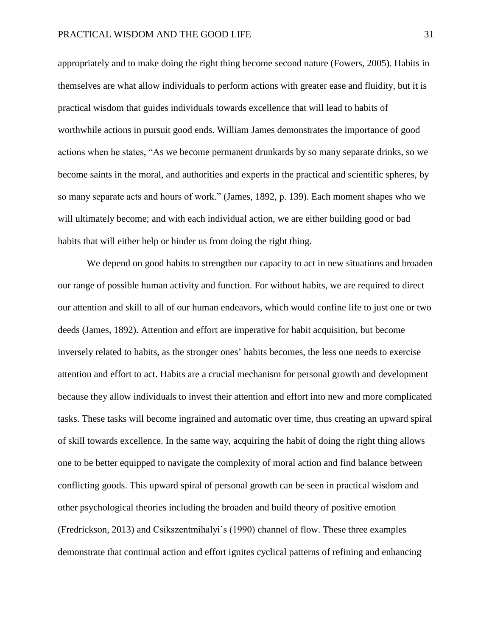appropriately and to make doing the right thing become second nature (Fowers, 2005). Habits in themselves are what allow individuals to perform actions with greater ease and fluidity, but it is practical wisdom that guides individuals towards excellence that will lead to habits of worthwhile actions in pursuit good ends. William James demonstrates the importance of good actions when he states, "As we become permanent drunkards by so many separate drinks, so we become saints in the moral, and authorities and experts in the practical and scientific spheres, by so many separate acts and hours of work." (James, 1892, p. 139). Each moment shapes who we will ultimately become; and with each individual action, we are either building good or bad habits that will either help or hinder us from doing the right thing.

We depend on good habits to strengthen our capacity to act in new situations and broaden our range of possible human activity and function. For without habits, we are required to direct our attention and skill to all of our human endeavors, which would confine life to just one or two deeds (James, 1892). Attention and effort are imperative for habit acquisition, but become inversely related to habits, as the stronger ones' habits becomes, the less one needs to exercise attention and effort to act. Habits are a crucial mechanism for personal growth and development because they allow individuals to invest their attention and effort into new and more complicated tasks. These tasks will become ingrained and automatic over time, thus creating an upward spiral of skill towards excellence. In the same way, acquiring the habit of doing the right thing allows one to be better equipped to navigate the complexity of moral action and find balance between conflicting goods. This upward spiral of personal growth can be seen in practical wisdom and other psychological theories including the broaden and build theory of positive emotion (Fredrickson, 2013) and Csikszentmihalyi's (1990) channel of flow. These three examples demonstrate that continual action and effort ignites cyclical patterns of refining and enhancing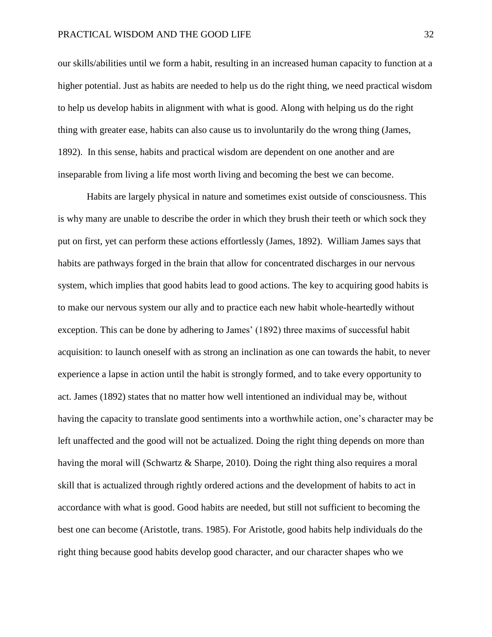our skills/abilities until we form a habit, resulting in an increased human capacity to function at a higher potential. Just as habits are needed to help us do the right thing, we need practical wisdom to help us develop habits in alignment with what is good. Along with helping us do the right thing with greater ease, habits can also cause us to involuntarily do the wrong thing (James, 1892). In this sense, habits and practical wisdom are dependent on one another and are inseparable from living a life most worth living and becoming the best we can become.

Habits are largely physical in nature and sometimes exist outside of consciousness. This is why many are unable to describe the order in which they brush their teeth or which sock they put on first, yet can perform these actions effortlessly (James, 1892). William James says that habits are pathways forged in the brain that allow for concentrated discharges in our nervous system, which implies that good habits lead to good actions. The key to acquiring good habits is to make our nervous system our ally and to practice each new habit whole-heartedly without exception. This can be done by adhering to James' (1892) three maxims of successful habit acquisition: to launch oneself with as strong an inclination as one can towards the habit, to never experience a lapse in action until the habit is strongly formed, and to take every opportunity to act. James (1892) states that no matter how well intentioned an individual may be, without having the capacity to translate good sentiments into a worthwhile action, one's character may be left unaffected and the good will not be actualized. Doing the right thing depends on more than having the moral will (Schwartz & Sharpe, 2010). Doing the right thing also requires a moral skill that is actualized through rightly ordered actions and the development of habits to act in accordance with what is good. Good habits are needed, but still not sufficient to becoming the best one can become (Aristotle, trans. 1985). For Aristotle, good habits help individuals do the right thing because good habits develop good character, and our character shapes who we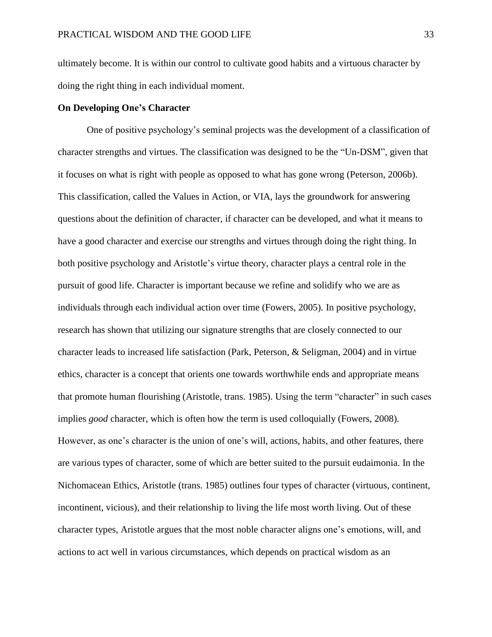ultimately become. It is within our control to cultivate good habits and a virtuous character by doing the right thing in each individual moment.

### **On Developing One's Character**

One of positive psychology's seminal projects was the development of a classification of character strengths and virtues. The classification was designed to be the "Un-DSM", given that it focuses on what is right with people as opposed to what has gone wrong (Peterson, 2006b). This classification, called the Values in Action, or VIA, lays the groundwork for answering questions about the definition of character, if character can be developed, and what it means to have a good character and exercise our strengths and virtues through doing the right thing. In both positive psychology and Aristotle's virtue theory, character plays a central role in the pursuit of good life. Character is important because we refine and solidify who we are as individuals through each individual action over time (Fowers, 2005). In positive psychology, research has shown that utilizing our signature strengths that are closely connected to our character leads to increased life satisfaction (Park, Peterson, & Seligman, 2004) and in virtue ethics, character is a concept that orients one towards worthwhile ends and appropriate means that promote human flourishing (Aristotle, trans. 1985). Using the term "character" in such cases implies *good* character, which is often how the term is used colloquially (Fowers, 2008). However, as one's character is the union of one's will, actions, habits, and other features, there are various types of character, some of which are better suited to the pursuit eudaimonia. In the Nichomacean Ethics, Aristotle (trans. 1985) outlines four types of character (virtuous, continent, incontinent, vicious), and their relationship to living the life most worth living. Out of these character types, Aristotle argues that the most noble character aligns one's emotions, will, and actions to act well in various circumstances, which depends on practical wisdom as an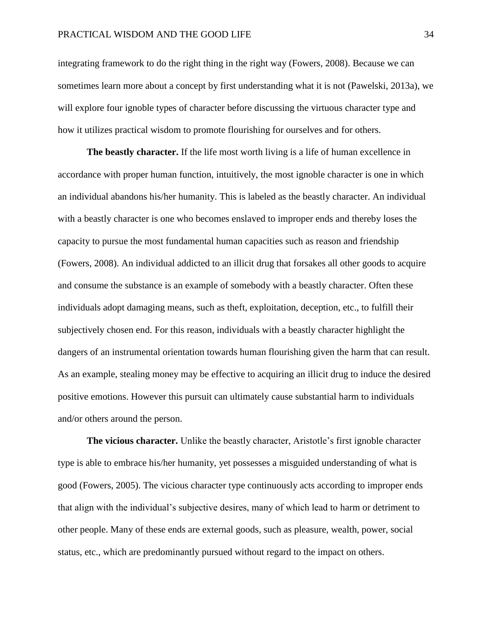integrating framework to do the right thing in the right way (Fowers, 2008). Because we can sometimes learn more about a concept by first understanding what it is not (Pawelski, 2013a), we will explore four ignoble types of character before discussing the virtuous character type and how it utilizes practical wisdom to promote flourishing for ourselves and for others.

**The beastly character.** If the life most worth living is a life of human excellence in accordance with proper human function, intuitively, the most ignoble character is one in which an individual abandons his/her humanity. This is labeled as the beastly character. An individual with a beastly character is one who becomes enslaved to improper ends and thereby loses the capacity to pursue the most fundamental human capacities such as reason and friendship (Fowers, 2008). An individual addicted to an illicit drug that forsakes all other goods to acquire and consume the substance is an example of somebody with a beastly character. Often these individuals adopt damaging means, such as theft, exploitation, deception, etc., to fulfill their subjectively chosen end. For this reason, individuals with a beastly character highlight the dangers of an instrumental orientation towards human flourishing given the harm that can result. As an example, stealing money may be effective to acquiring an illicit drug to induce the desired positive emotions. However this pursuit can ultimately cause substantial harm to individuals and/or others around the person.

**The vicious character.** Unlike the beastly character, Aristotle's first ignoble character type is able to embrace his/her humanity, yet possesses a misguided understanding of what is good (Fowers, 2005). The vicious character type continuously acts according to improper ends that align with the individual's subjective desires, many of which lead to harm or detriment to other people. Many of these ends are external goods, such as pleasure, wealth, power, social status, etc., which are predominantly pursued without regard to the impact on others.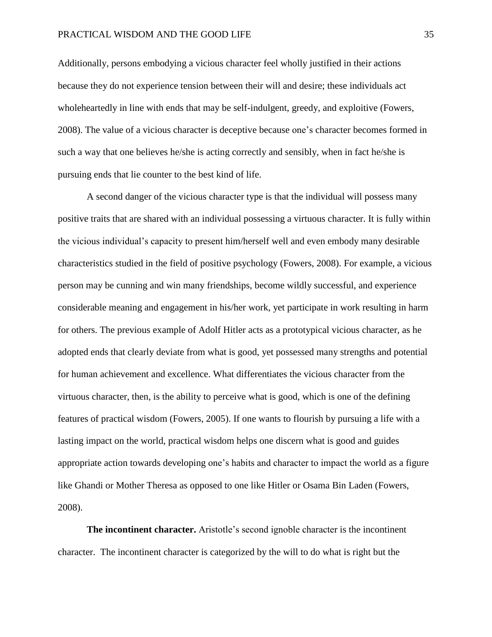Additionally, persons embodying a vicious character feel wholly justified in their actions because they do not experience tension between their will and desire; these individuals act wholeheartedly in line with ends that may be self-indulgent, greedy, and exploitive (Fowers, 2008). The value of a vicious character is deceptive because one's character becomes formed in such a way that one believes he/she is acting correctly and sensibly, when in fact he/she is pursuing ends that lie counter to the best kind of life.

A second danger of the vicious character type is that the individual will possess many positive traits that are shared with an individual possessing a virtuous character. It is fully within the vicious individual's capacity to present him/herself well and even embody many desirable characteristics studied in the field of positive psychology (Fowers, 2008). For example, a vicious person may be cunning and win many friendships, become wildly successful, and experience considerable meaning and engagement in his/her work, yet participate in work resulting in harm for others. The previous example of Adolf Hitler acts as a prototypical vicious character, as he adopted ends that clearly deviate from what is good, yet possessed many strengths and potential for human achievement and excellence. What differentiates the vicious character from the virtuous character, then, is the ability to perceive what is good, which is one of the defining features of practical wisdom (Fowers, 2005). If one wants to flourish by pursuing a life with a lasting impact on the world, practical wisdom helps one discern what is good and guides appropriate action towards developing one's habits and character to impact the world as a figure like Ghandi or Mother Theresa as opposed to one like Hitler or Osama Bin Laden (Fowers, 2008).

**The incontinent character.** Aristotle's second ignoble character is the incontinent character. The incontinent character is categorized by the will to do what is right but the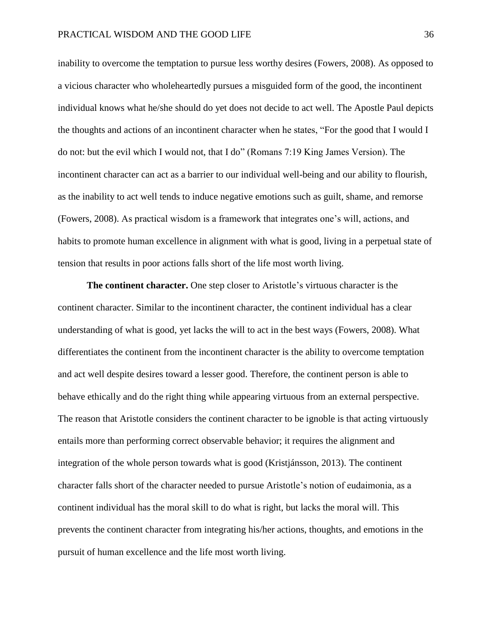inability to overcome the temptation to pursue less worthy desires (Fowers, 2008). As opposed to a vicious character who wholeheartedly pursues a misguided form of the good, the incontinent individual knows what he/she should do yet does not decide to act well. The Apostle Paul depicts the thoughts and actions of an incontinent character when he states, "For the good that I would I do not: but the evil which I would not, that I do" (Romans 7:19 King James Version). The incontinent character can act as a barrier to our individual well-being and our ability to flourish, as the inability to act well tends to induce negative emotions such as guilt, shame, and remorse (Fowers, 2008). As practical wisdom is a framework that integrates one's will, actions, and habits to promote human excellence in alignment with what is good, living in a perpetual state of tension that results in poor actions falls short of the life most worth living.

**The continent character.** One step closer to Aristotle's virtuous character is the continent character. Similar to the incontinent character, the continent individual has a clear understanding of what is good, yet lacks the will to act in the best ways (Fowers, 2008). What differentiates the continent from the incontinent character is the ability to overcome temptation and act well despite desires toward a lesser good. Therefore, the continent person is able to behave ethically and do the right thing while appearing virtuous from an external perspective. The reason that Aristotle considers the continent character to be ignoble is that acting virtuously entails more than performing correct observable behavior; it requires the alignment and integration of the whole person towards what is good (Kristjánsson, 2013). The continent character falls short of the character needed to pursue Aristotle's notion of eudaimonia, as a continent individual has the moral skill to do what is right, but lacks the moral will. This prevents the continent character from integrating his/her actions, thoughts, and emotions in the pursuit of human excellence and the life most worth living.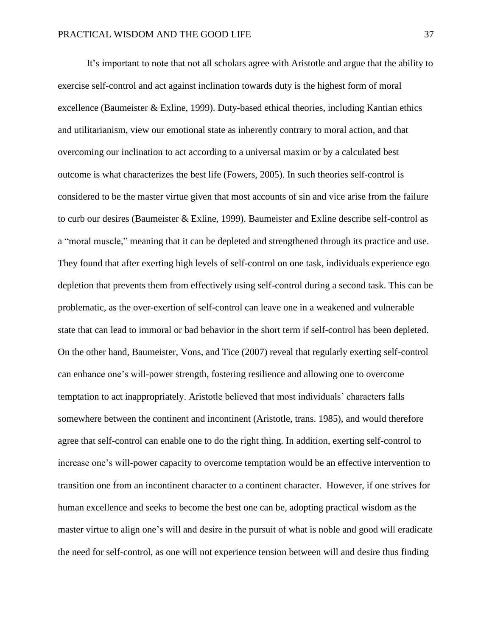It's important to note that not all scholars agree with Aristotle and argue that the ability to exercise self-control and act against inclination towards duty is the highest form of moral excellence (Baumeister & Exline, 1999). Duty-based ethical theories, including Kantian ethics and utilitarianism, view our emotional state as inherently contrary to moral action, and that overcoming our inclination to act according to a universal maxim or by a calculated best outcome is what characterizes the best life (Fowers, 2005). In such theories self-control is considered to be the master virtue given that most accounts of sin and vice arise from the failure to curb our desires (Baumeister & Exline, 1999). Baumeister and Exline describe self-control as a "moral muscle," meaning that it can be depleted and strengthened through its practice and use. They found that after exerting high levels of self-control on one task, individuals experience ego depletion that prevents them from effectively using self-control during a second task. This can be problematic, as the over-exertion of self-control can leave one in a weakened and vulnerable state that can lead to immoral or bad behavior in the short term if self-control has been depleted. On the other hand, Baumeister, Vons, and Tice (2007) reveal that regularly exerting self-control can enhance one's will-power strength, fostering resilience and allowing one to overcome temptation to act inappropriately. Aristotle believed that most individuals' characters falls somewhere between the continent and incontinent (Aristotle, trans. 1985), and would therefore agree that self-control can enable one to do the right thing. In addition, exerting self-control to increase one's will-power capacity to overcome temptation would be an effective intervention to transition one from an incontinent character to a continent character. However, if one strives for human excellence and seeks to become the best one can be, adopting practical wisdom as the master virtue to align one's will and desire in the pursuit of what is noble and good will eradicate the need for self-control, as one will not experience tension between will and desire thus finding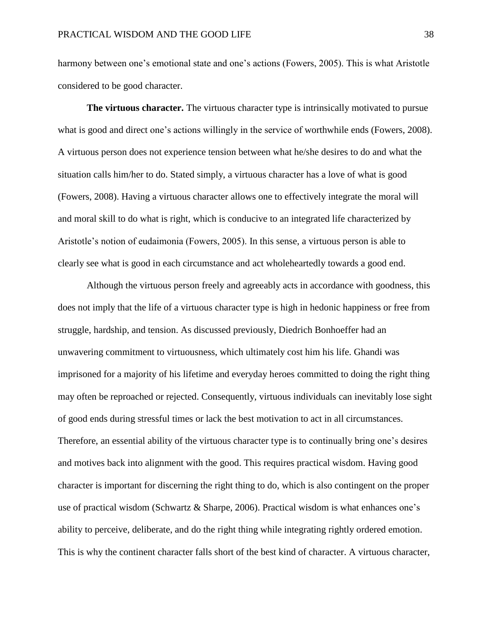harmony between one's emotional state and one's actions (Fowers, 2005). This is what Aristotle considered to be good character.

**The virtuous character.** The virtuous character type is intrinsically motivated to pursue what is good and direct one's actions willingly in the service of worthwhile ends (Fowers, 2008). A virtuous person does not experience tension between what he/she desires to do and what the situation calls him/her to do. Stated simply, a virtuous character has a love of what is good (Fowers, 2008). Having a virtuous character allows one to effectively integrate the moral will and moral skill to do what is right, which is conducive to an integrated life characterized by Aristotle's notion of eudaimonia (Fowers, 2005). In this sense, a virtuous person is able to clearly see what is good in each circumstance and act wholeheartedly towards a good end.

Although the virtuous person freely and agreeably acts in accordance with goodness, this does not imply that the life of a virtuous character type is high in hedonic happiness or free from struggle, hardship, and tension. As discussed previously, Diedrich Bonhoeffer had an unwavering commitment to virtuousness, which ultimately cost him his life. Ghandi was imprisoned for a majority of his lifetime and everyday heroes committed to doing the right thing may often be reproached or rejected. Consequently, virtuous individuals can inevitably lose sight of good ends during stressful times or lack the best motivation to act in all circumstances. Therefore, an essential ability of the virtuous character type is to continually bring one's desires and motives back into alignment with the good. This requires practical wisdom. Having good character is important for discerning the right thing to do, which is also contingent on the proper use of practical wisdom (Schwartz & Sharpe, 2006). Practical wisdom is what enhances one's ability to perceive, deliberate, and do the right thing while integrating rightly ordered emotion. This is why the continent character falls short of the best kind of character. A virtuous character,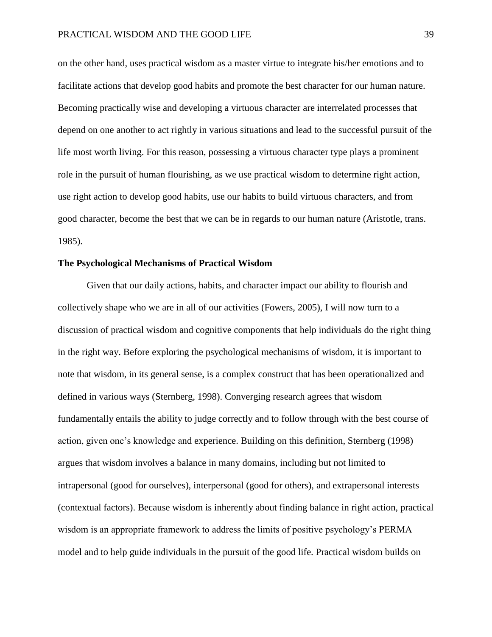on the other hand, uses practical wisdom as a master virtue to integrate his/her emotions and to facilitate actions that develop good habits and promote the best character for our human nature. Becoming practically wise and developing a virtuous character are interrelated processes that depend on one another to act rightly in various situations and lead to the successful pursuit of the life most worth living. For this reason, possessing a virtuous character type plays a prominent role in the pursuit of human flourishing, as we use practical wisdom to determine right action, use right action to develop good habits, use our habits to build virtuous characters, and from good character, become the best that we can be in regards to our human nature (Aristotle, trans. 1985).

# **The Psychological Mechanisms of Practical Wisdom**

Given that our daily actions, habits, and character impact our ability to flourish and collectively shape who we are in all of our activities (Fowers, 2005), I will now turn to a discussion of practical wisdom and cognitive components that help individuals do the right thing in the right way. Before exploring the psychological mechanisms of wisdom, it is important to note that wisdom, in its general sense, is a complex construct that has been operationalized and defined in various ways (Sternberg, 1998). Converging research agrees that wisdom fundamentally entails the ability to judge correctly and to follow through with the best course of action, given one's knowledge and experience. Building on this definition, Sternberg (1998) argues that wisdom involves a balance in many domains, including but not limited to intrapersonal (good for ourselves), interpersonal (good for others), and extrapersonal interests (contextual factors). Because wisdom is inherently about finding balance in right action, practical wisdom is an appropriate framework to address the limits of positive psychology's PERMA model and to help guide individuals in the pursuit of the good life. Practical wisdom builds on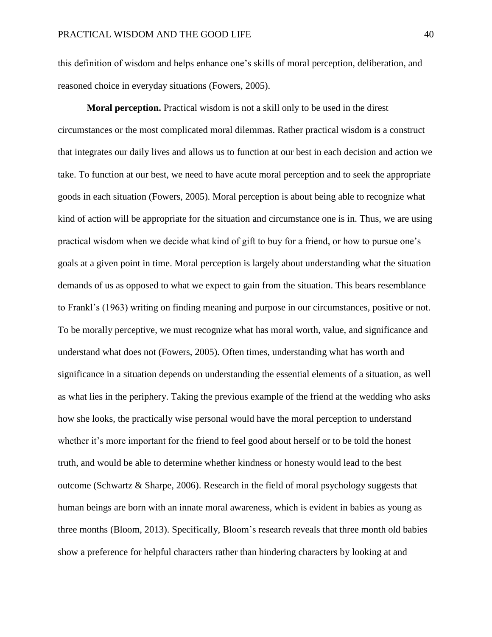this definition of wisdom and helps enhance one's skills of moral perception, deliberation, and reasoned choice in everyday situations (Fowers, 2005).

**Moral perception.** Practical wisdom is not a skill only to be used in the direst circumstances or the most complicated moral dilemmas. Rather practical wisdom is a construct that integrates our daily lives and allows us to function at our best in each decision and action we take. To function at our best, we need to have acute moral perception and to seek the appropriate goods in each situation (Fowers, 2005). Moral perception is about being able to recognize what kind of action will be appropriate for the situation and circumstance one is in. Thus, we are using practical wisdom when we decide what kind of gift to buy for a friend, or how to pursue one's goals at a given point in time. Moral perception is largely about understanding what the situation demands of us as opposed to what we expect to gain from the situation. This bears resemblance to Frankl's (1963) writing on finding meaning and purpose in our circumstances, positive or not. To be morally perceptive, we must recognize what has moral worth, value, and significance and understand what does not (Fowers, 2005). Often times, understanding what has worth and significance in a situation depends on understanding the essential elements of a situation, as well as what lies in the periphery. Taking the previous example of the friend at the wedding who asks how she looks, the practically wise personal would have the moral perception to understand whether it's more important for the friend to feel good about herself or to be told the honest truth, and would be able to determine whether kindness or honesty would lead to the best outcome (Schwartz & Sharpe, 2006). Research in the field of moral psychology suggests that human beings are born with an innate moral awareness, which is evident in babies as young as three months (Bloom, 2013). Specifically, Bloom's research reveals that three month old babies show a preference for helpful characters rather than hindering characters by looking at and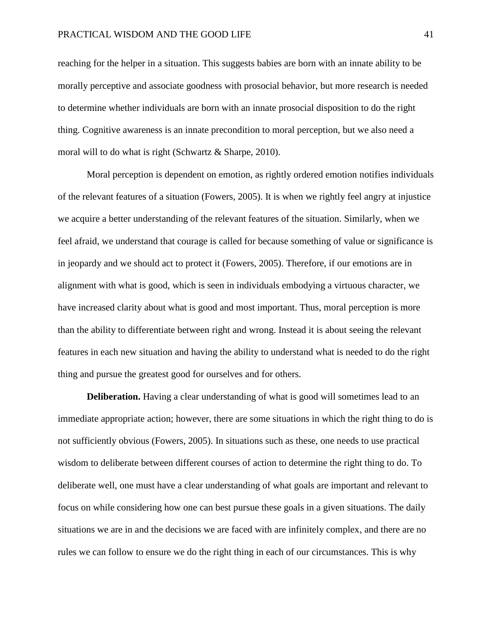reaching for the helper in a situation. This suggests babies are born with an innate ability to be morally perceptive and associate goodness with prosocial behavior, but more research is needed to determine whether individuals are born with an innate prosocial disposition to do the right thing. Cognitive awareness is an innate precondition to moral perception, but we also need a moral will to do what is right (Schwartz & Sharpe, 2010).

Moral perception is dependent on emotion, as rightly ordered emotion notifies individuals of the relevant features of a situation (Fowers, 2005). It is when we rightly feel angry at injustice we acquire a better understanding of the relevant features of the situation. Similarly, when we feel afraid, we understand that courage is called for because something of value or significance is in jeopardy and we should act to protect it (Fowers, 2005). Therefore, if our emotions are in alignment with what is good, which is seen in individuals embodying a virtuous character, we have increased clarity about what is good and most important. Thus, moral perception is more than the ability to differentiate between right and wrong. Instead it is about seeing the relevant features in each new situation and having the ability to understand what is needed to do the right thing and pursue the greatest good for ourselves and for others.

**Deliberation.** Having a clear understanding of what is good will sometimes lead to an immediate appropriate action; however, there are some situations in which the right thing to do is not sufficiently obvious (Fowers, 2005). In situations such as these, one needs to use practical wisdom to deliberate between different courses of action to determine the right thing to do. To deliberate well, one must have a clear understanding of what goals are important and relevant to focus on while considering how one can best pursue these goals in a given situations. The daily situations we are in and the decisions we are faced with are infinitely complex, and there are no rules we can follow to ensure we do the right thing in each of our circumstances. This is why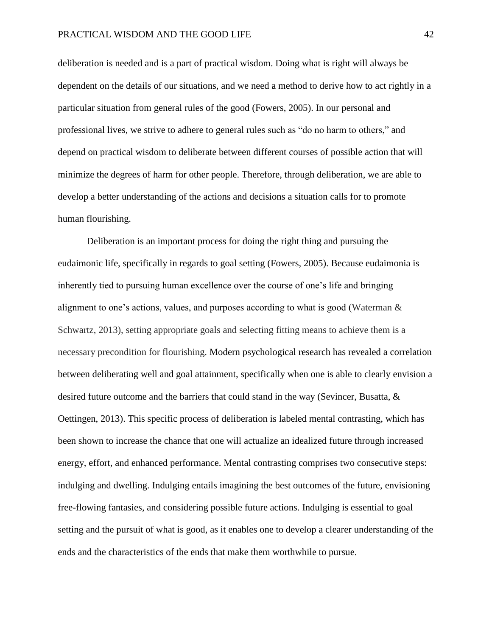deliberation is needed and is a part of practical wisdom. Doing what is right will always be dependent on the details of our situations, and we need a method to derive how to act rightly in a particular situation from general rules of the good (Fowers, 2005). In our personal and professional lives, we strive to adhere to general rules such as "do no harm to others," and depend on practical wisdom to deliberate between different courses of possible action that will minimize the degrees of harm for other people. Therefore, through deliberation, we are able to develop a better understanding of the actions and decisions a situation calls for to promote human flourishing.

Deliberation is an important process for doing the right thing and pursuing the eudaimonic life, specifically in regards to goal setting (Fowers, 2005). Because eudaimonia is inherently tied to pursuing human excellence over the course of one's life and bringing alignment to one's actions, values, and purposes according to what is good (Waterman & Schwartz, 2013), setting appropriate goals and selecting fitting means to achieve them is a necessary precondition for flourishing. Modern psychological research has revealed a correlation between deliberating well and goal attainment, specifically when one is able to clearly envision a desired future outcome and the barriers that could stand in the way (Sevincer, Busatta, & Oettingen, 2013). This specific process of deliberation is labeled mental contrasting, which has been shown to increase the chance that one will actualize an idealized future through increased energy, effort, and enhanced performance. Mental contrasting comprises two consecutive steps: indulging and dwelling. Indulging entails imagining the best outcomes of the future, envisioning free-flowing fantasies, and considering possible future actions. Indulging is essential to goal setting and the pursuit of what is good, as it enables one to develop a clearer understanding of the ends and the characteristics of the ends that make them worthwhile to pursue.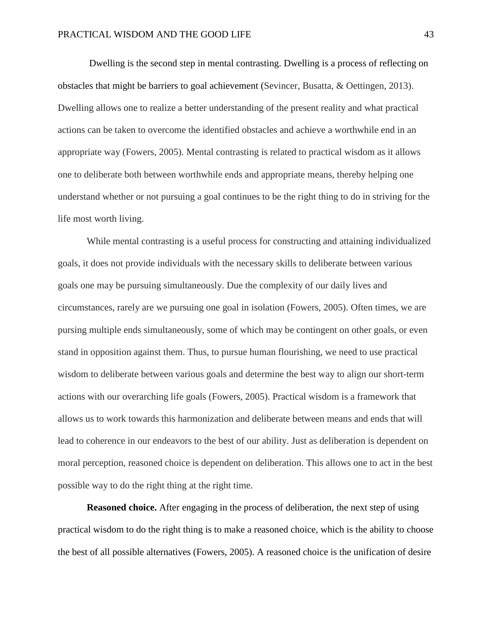Dwelling is the second step in mental contrasting. Dwelling is a process of reflecting on obstacles that might be barriers to goal achievement (Sevincer, Busatta, & Oettingen, 2013). Dwelling allows one to realize a better understanding of the present reality and what practical actions can be taken to overcome the identified obstacles and achieve a worthwhile end in an appropriate way (Fowers, 2005). Mental contrasting is related to practical wisdom as it allows one to deliberate both between worthwhile ends and appropriate means, thereby helping one understand whether or not pursuing a goal continues to be the right thing to do in striving for the life most worth living.

While mental contrasting is a useful process for constructing and attaining individualized goals, it does not provide individuals with the necessary skills to deliberate between various goals one may be pursuing simultaneously. Due the complexity of our daily lives and circumstances, rarely are we pursuing one goal in isolation (Fowers, 2005). Often times, we are pursing multiple ends simultaneously, some of which may be contingent on other goals, or even stand in opposition against them. Thus, to pursue human flourishing, we need to use practical wisdom to deliberate between various goals and determine the best way to align our short-term actions with our overarching life goals (Fowers, 2005). Practical wisdom is a framework that allows us to work towards this harmonization and deliberate between means and ends that will lead to coherence in our endeavors to the best of our ability. Just as deliberation is dependent on moral perception, reasoned choice is dependent on deliberation. This allows one to act in the best possible way to do the right thing at the right time.

**Reasoned choice.** After engaging in the process of deliberation, the next step of using practical wisdom to do the right thing is to make a reasoned choice, which is the ability to choose the best of all possible alternatives (Fowers, 2005). A reasoned choice is the unification of desire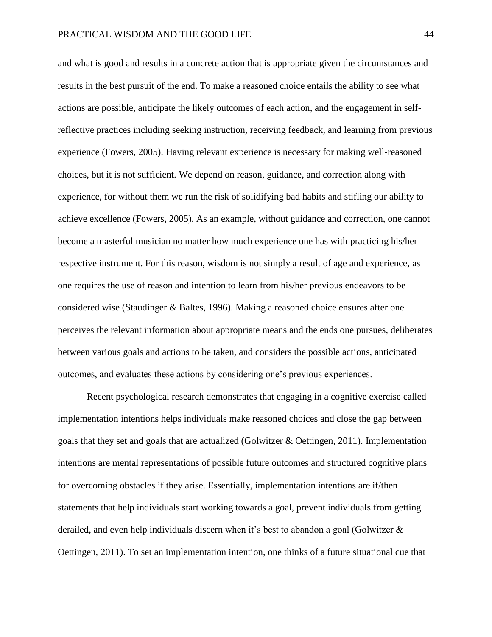and what is good and results in a concrete action that is appropriate given the circumstances and results in the best pursuit of the end. To make a reasoned choice entails the ability to see what actions are possible, anticipate the likely outcomes of each action, and the engagement in selfreflective practices including seeking instruction, receiving feedback, and learning from previous experience (Fowers, 2005). Having relevant experience is necessary for making well-reasoned choices, but it is not sufficient. We depend on reason, guidance, and correction along with experience, for without them we run the risk of solidifying bad habits and stifling our ability to achieve excellence (Fowers, 2005). As an example, without guidance and correction, one cannot become a masterful musician no matter how much experience one has with practicing his/her respective instrument. For this reason, wisdom is not simply a result of age and experience, as one requires the use of reason and intention to learn from his/her previous endeavors to be considered wise (Staudinger & Baltes, 1996). Making a reasoned choice ensures after one perceives the relevant information about appropriate means and the ends one pursues, deliberates between various goals and actions to be taken, and considers the possible actions, anticipated outcomes, and evaluates these actions by considering one's previous experiences.

Recent psychological research demonstrates that engaging in a cognitive exercise called implementation intentions helps individuals make reasoned choices and close the gap between goals that they set and goals that are actualized (Golwitzer & Oettingen, 2011). Implementation intentions are mental representations of possible future outcomes and structured cognitive plans for overcoming obstacles if they arise. Essentially, implementation intentions are if/then statements that help individuals start working towards a goal, prevent individuals from getting derailed, and even help individuals discern when it's best to abandon a goal (Golwitzer & Oettingen, 2011). To set an implementation intention, one thinks of a future situational cue that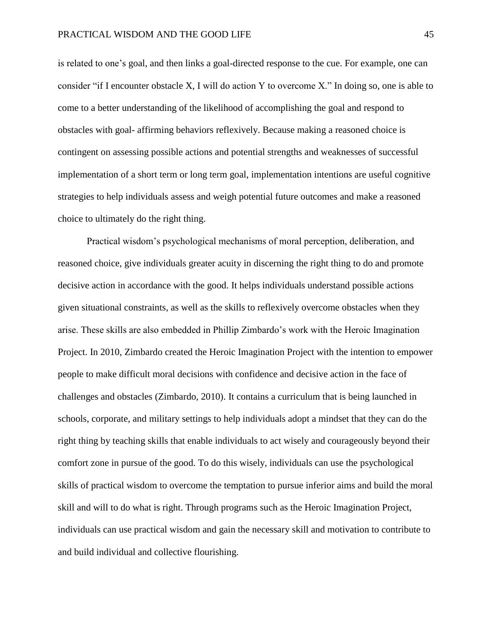is related to one's goal, and then links a goal-directed response to the cue. For example, one can consider "if I encounter obstacle X, I will do action Y to overcome X." In doing so, one is able to come to a better understanding of the likelihood of accomplishing the goal and respond to obstacles with goal- affirming behaviors reflexively. Because making a reasoned choice is contingent on assessing possible actions and potential strengths and weaknesses of successful implementation of a short term or long term goal, implementation intentions are useful cognitive strategies to help individuals assess and weigh potential future outcomes and make a reasoned choice to ultimately do the right thing.

Practical wisdom's psychological mechanisms of moral perception, deliberation, and reasoned choice, give individuals greater acuity in discerning the right thing to do and promote decisive action in accordance with the good. It helps individuals understand possible actions given situational constraints, as well as the skills to reflexively overcome obstacles when they arise. These skills are also embedded in Phillip Zimbardo's work with the Heroic Imagination Project. In 2010, Zimbardo created the Heroic Imagination Project with the intention to empower people to make difficult moral decisions with confidence and decisive action in the face of challenges and obstacles (Zimbardo, 2010). It contains a curriculum that is being launched in schools, corporate, and military settings to help individuals adopt a mindset that they can do the right thing by teaching skills that enable individuals to act wisely and courageously beyond their comfort zone in pursue of the good. To do this wisely, individuals can use the psychological skills of practical wisdom to overcome the temptation to pursue inferior aims and build the moral skill and will to do what is right. Through programs such as the Heroic Imagination Project, individuals can use practical wisdom and gain the necessary skill and motivation to contribute to and build individual and collective flourishing.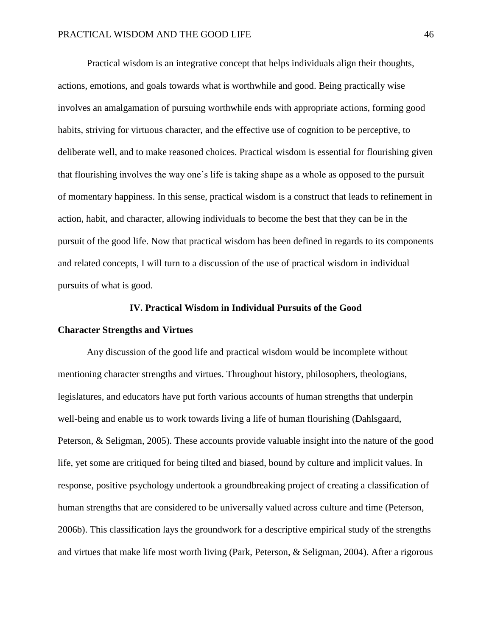Practical wisdom is an integrative concept that helps individuals align their thoughts, actions, emotions, and goals towards what is worthwhile and good. Being practically wise involves an amalgamation of pursuing worthwhile ends with appropriate actions, forming good habits, striving for virtuous character, and the effective use of cognition to be perceptive, to deliberate well, and to make reasoned choices. Practical wisdom is essential for flourishing given that flourishing involves the way one's life is taking shape as a whole as opposed to the pursuit of momentary happiness. In this sense, practical wisdom is a construct that leads to refinement in action, habit, and character, allowing individuals to become the best that they can be in the pursuit of the good life. Now that practical wisdom has been defined in regards to its components and related concepts, I will turn to a discussion of the use of practical wisdom in individual pursuits of what is good.

### **IV. Practical Wisdom in Individual Pursuits of the Good**

## **Character Strengths and Virtues**

Any discussion of the good life and practical wisdom would be incomplete without mentioning character strengths and virtues. Throughout history, philosophers, theologians, legislatures, and educators have put forth various accounts of human strengths that underpin well-being and enable us to work towards living a life of human flourishing (Dahlsgaard, Peterson, & Seligman, 2005). These accounts provide valuable insight into the nature of the good life, yet some are critiqued for being tilted and biased, bound by culture and implicit values. In response, positive psychology undertook a groundbreaking project of creating a classification of human strengths that are considered to be universally valued across culture and time (Peterson, 2006b). This classification lays the groundwork for a descriptive empirical study of the strengths and virtues that make life most worth living (Park, Peterson, & Seligman, 2004). After a rigorous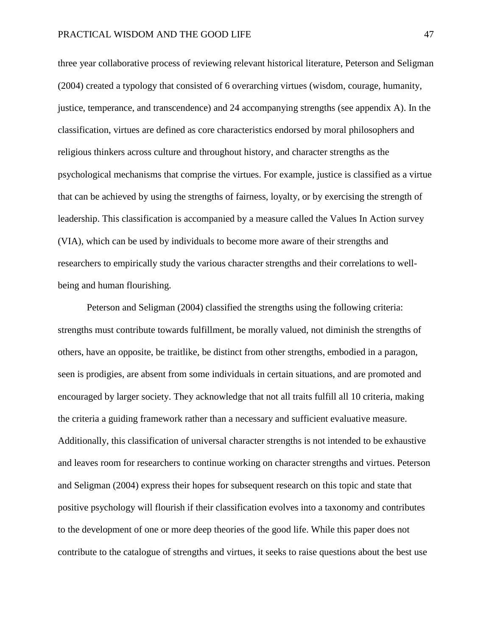three year collaborative process of reviewing relevant historical literature, Peterson and Seligman (2004) created a typology that consisted of 6 overarching virtues (wisdom, courage, humanity, justice, temperance, and transcendence) and 24 accompanying strengths (see appendix A). In the classification, virtues are defined as core characteristics endorsed by moral philosophers and religious thinkers across culture and throughout history, and character strengths as the psychological mechanisms that comprise the virtues. For example, justice is classified as a virtue that can be achieved by using the strengths of fairness, loyalty, or by exercising the strength of leadership. This classification is accompanied by a measure called the Values In Action survey (VIA), which can be used by individuals to become more aware of their strengths and researchers to empirically study the various character strengths and their correlations to wellbeing and human flourishing.

Peterson and Seligman (2004) classified the strengths using the following criteria: strengths must contribute towards fulfillment, be morally valued, not diminish the strengths of others, have an opposite, be traitlike, be distinct from other strengths, embodied in a paragon, seen is prodigies, are absent from some individuals in certain situations, and are promoted and encouraged by larger society. They acknowledge that not all traits fulfill all 10 criteria, making the criteria a guiding framework rather than a necessary and sufficient evaluative measure. Additionally, this classification of universal character strengths is not intended to be exhaustive and leaves room for researchers to continue working on character strengths and virtues. Peterson and Seligman (2004) express their hopes for subsequent research on this topic and state that positive psychology will flourish if their classification evolves into a taxonomy and contributes to the development of one or more deep theories of the good life. While this paper does not contribute to the catalogue of strengths and virtues, it seeks to raise questions about the best use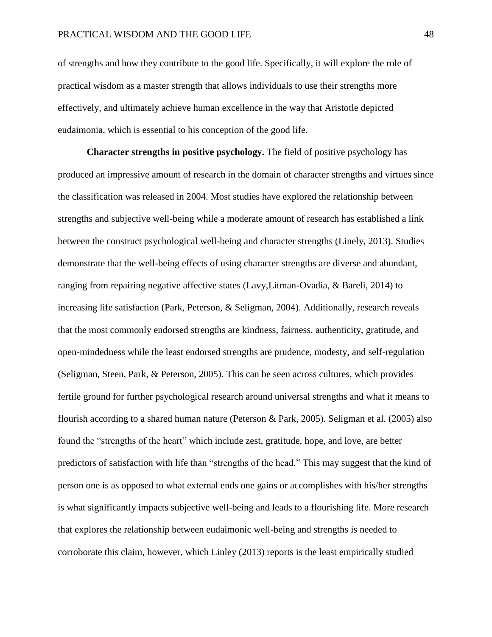of strengths and how they contribute to the good life. Specifically, it will explore the role of practical wisdom as a master strength that allows individuals to use their strengths more effectively, and ultimately achieve human excellence in the way that Aristotle depicted eudaimonia, which is essential to his conception of the good life.

**Character strengths in positive psychology.** The field of positive psychology has produced an impressive amount of research in the domain of character strengths and virtues since the classification was released in 2004. Most studies have explored the relationship between strengths and subjective well-being while a moderate amount of research has established a link between the construct psychological well-being and character strengths (Linely, 2013). Studies demonstrate that the well-being effects of using character strengths are diverse and abundant, ranging from repairing negative affective states (Lavy,Litman-Ovadia, & Bareli, 2014) to increasing life satisfaction (Park, Peterson, & Seligman, 2004). Additionally, research reveals that the most commonly endorsed strengths are kindness, fairness, authenticity, gratitude, and open-mindedness while the least endorsed strengths are prudence, modesty, and self-regulation (Seligman, Steen, Park, & Peterson, 2005). This can be seen across cultures, which provides fertile ground for further psychological research around universal strengths and what it means to flourish according to a shared human nature (Peterson & Park, 2005). Seligman et al. (2005) also found the "strengths of the heart" which include zest, gratitude, hope, and love, are better predictors of satisfaction with life than "strengths of the head." This may suggest that the kind of person one is as opposed to what external ends one gains or accomplishes with his/her strengths is what significantly impacts subjective well-being and leads to a flourishing life. More research that explores the relationship between eudaimonic well-being and strengths is needed to corroborate this claim, however, which Linley (2013) reports is the least empirically studied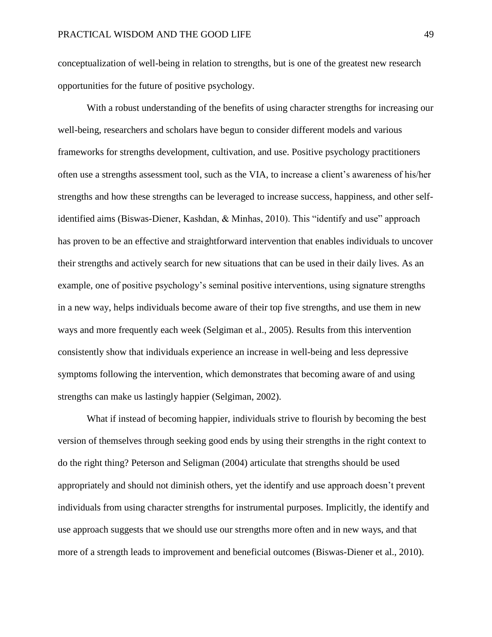conceptualization of well-being in relation to strengths, but is one of the greatest new research opportunities for the future of positive psychology.

With a robust understanding of the benefits of using character strengths for increasing our well-being, researchers and scholars have begun to consider different models and various frameworks for strengths development, cultivation, and use. Positive psychology practitioners often use a strengths assessment tool, such as the VIA, to increase a client's awareness of his/her strengths and how these strengths can be leveraged to increase success, happiness, and other selfidentified aims (Biswas-Diener, Kashdan, & Minhas, 2010). This "identify and use" approach has proven to be an effective and straightforward intervention that enables individuals to uncover their strengths and actively search for new situations that can be used in their daily lives. As an example, one of positive psychology's seminal positive interventions, using signature strengths in a new way, helps individuals become aware of their top five strengths, and use them in new ways and more frequently each week (Selgiman et al., 2005). Results from this intervention consistently show that individuals experience an increase in well-being and less depressive symptoms following the intervention, which demonstrates that becoming aware of and using strengths can make us lastingly happier (Selgiman, 2002).

What if instead of becoming happier, individuals strive to flourish by becoming the best version of themselves through seeking good ends by using their strengths in the right context to do the right thing? Peterson and Seligman (2004) articulate that strengths should be used appropriately and should not diminish others, yet the identify and use approach doesn't prevent individuals from using character strengths for instrumental purposes. Implicitly, the identify and use approach suggests that we should use our strengths more often and in new ways, and that more of a strength leads to improvement and beneficial outcomes (Biswas-Diener et al., 2010).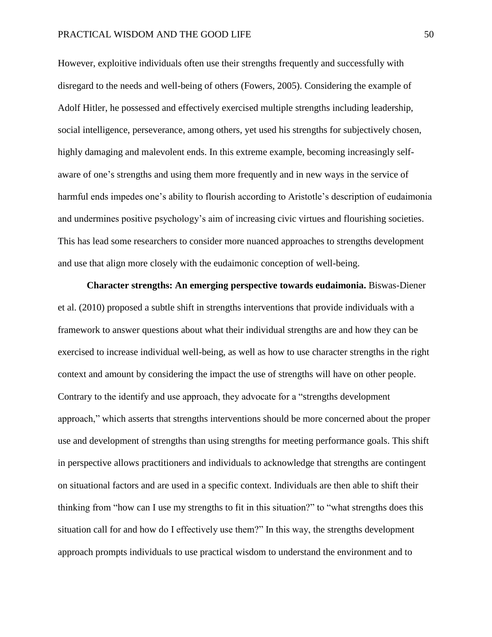However, exploitive individuals often use their strengths frequently and successfully with disregard to the needs and well-being of others (Fowers, 2005). Considering the example of Adolf Hitler, he possessed and effectively exercised multiple strengths including leadership, social intelligence, perseverance, among others, yet used his strengths for subjectively chosen, highly damaging and malevolent ends. In this extreme example, becoming increasingly selfaware of one's strengths and using them more frequently and in new ways in the service of harmful ends impedes one's ability to flourish according to Aristotle's description of eudaimonia and undermines positive psychology's aim of increasing civic virtues and flourishing societies. This has lead some researchers to consider more nuanced approaches to strengths development and use that align more closely with the eudaimonic conception of well-being.

**Character strengths: An emerging perspective towards eudaimonia.** Biswas-Diener et al. (2010) proposed a subtle shift in strengths interventions that provide individuals with a framework to answer questions about what their individual strengths are and how they can be exercised to increase individual well-being, as well as how to use character strengths in the right context and amount by considering the impact the use of strengths will have on other people. Contrary to the identify and use approach, they advocate for a "strengths development approach," which asserts that strengths interventions should be more concerned about the proper use and development of strengths than using strengths for meeting performance goals. This shift in perspective allows practitioners and individuals to acknowledge that strengths are contingent on situational factors and are used in a specific context. Individuals are then able to shift their thinking from "how can I use my strengths to fit in this situation?" to "what strengths does this situation call for and how do I effectively use them?" In this way, the strengths development approach prompts individuals to use practical wisdom to understand the environment and to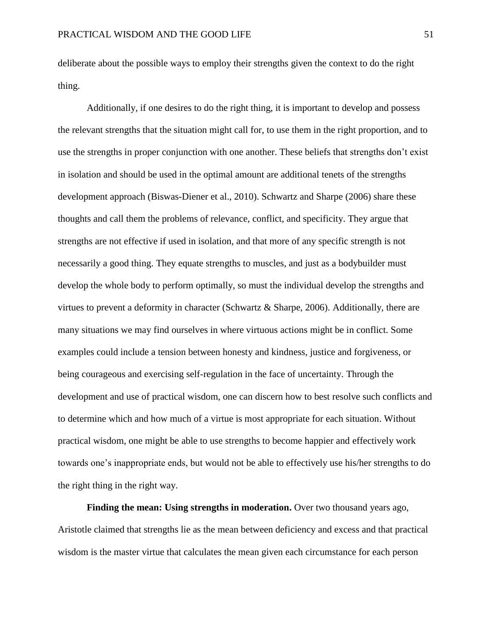deliberate about the possible ways to employ their strengths given the context to do the right thing.

Additionally, if one desires to do the right thing, it is important to develop and possess the relevant strengths that the situation might call for, to use them in the right proportion, and to use the strengths in proper conjunction with one another. These beliefs that strengths don't exist in isolation and should be used in the optimal amount are additional tenets of the strengths development approach (Biswas-Diener et al., 2010). Schwartz and Sharpe (2006) share these thoughts and call them the problems of relevance, conflict, and specificity. They argue that strengths are not effective if used in isolation, and that more of any specific strength is not necessarily a good thing. They equate strengths to muscles, and just as a bodybuilder must develop the whole body to perform optimally, so must the individual develop the strengths and virtues to prevent a deformity in character (Schwartz & Sharpe, 2006). Additionally, there are many situations we may find ourselves in where virtuous actions might be in conflict. Some examples could include a tension between honesty and kindness, justice and forgiveness, or being courageous and exercising self-regulation in the face of uncertainty. Through the development and use of practical wisdom, one can discern how to best resolve such conflicts and to determine which and how much of a virtue is most appropriate for each situation. Without practical wisdom, one might be able to use strengths to become happier and effectively work towards one's inappropriate ends, but would not be able to effectively use his/her strengths to do the right thing in the right way.

**Finding the mean: Using strengths in moderation.** Over two thousand years ago, Aristotle claimed that strengths lie as the mean between deficiency and excess and that practical wisdom is the master virtue that calculates the mean given each circumstance for each person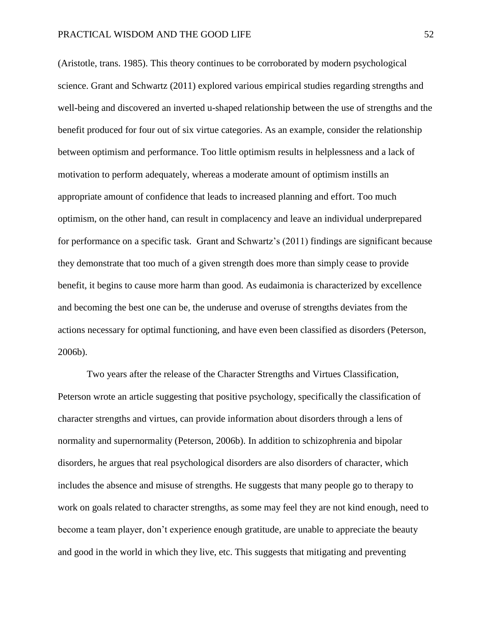(Aristotle, trans. 1985). This theory continues to be corroborated by modern psychological science. Grant and Schwartz (2011) explored various empirical studies regarding strengths and well-being and discovered an inverted u-shaped relationship between the use of strengths and the benefit produced for four out of six virtue categories. As an example, consider the relationship between optimism and performance. Too little optimism results in helplessness and a lack of motivation to perform adequately, whereas a moderate amount of optimism instills an appropriate amount of confidence that leads to increased planning and effort. Too much optimism, on the other hand, can result in complacency and leave an individual underprepared for performance on a specific task. Grant and Schwartz's (2011) findings are significant because they demonstrate that too much of a given strength does more than simply cease to provide benefit, it begins to cause more harm than good. As eudaimonia is characterized by excellence and becoming the best one can be, the underuse and overuse of strengths deviates from the actions necessary for optimal functioning, and have even been classified as disorders (Peterson, 2006b).

Two years after the release of the Character Strengths and Virtues Classification, Peterson wrote an article suggesting that positive psychology, specifically the classification of character strengths and virtues, can provide information about disorders through a lens of normality and supernormality (Peterson, 2006b). In addition to schizophrenia and bipolar disorders, he argues that real psychological disorders are also disorders of character, which includes the absence and misuse of strengths. He suggests that many people go to therapy to work on goals related to character strengths, as some may feel they are not kind enough, need to become a team player, don't experience enough gratitude, are unable to appreciate the beauty and good in the world in which they live, etc. This suggests that mitigating and preventing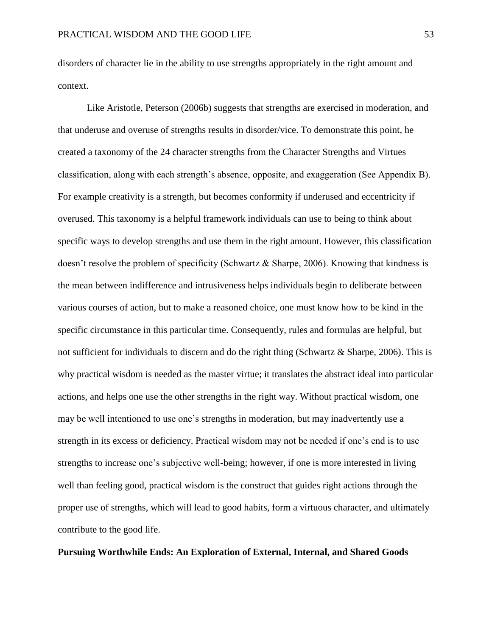disorders of character lie in the ability to use strengths appropriately in the right amount and context.

Like Aristotle, Peterson (2006b) suggests that strengths are exercised in moderation, and that underuse and overuse of strengths results in disorder/vice. To demonstrate this point, he created a taxonomy of the 24 character strengths from the Character Strengths and Virtues classification, along with each strength's absence, opposite, and exaggeration (See Appendix B). For example creativity is a strength, but becomes conformity if underused and eccentricity if overused. This taxonomy is a helpful framework individuals can use to being to think about specific ways to develop strengths and use them in the right amount. However, this classification doesn't resolve the problem of specificity (Schwartz & Sharpe, 2006). Knowing that kindness is the mean between indifference and intrusiveness helps individuals begin to deliberate between various courses of action, but to make a reasoned choice, one must know how to be kind in the specific circumstance in this particular time. Consequently, rules and formulas are helpful, but not sufficient for individuals to discern and do the right thing (Schwartz & Sharpe, 2006). This is why practical wisdom is needed as the master virtue; it translates the abstract ideal into particular actions, and helps one use the other strengths in the right way. Without practical wisdom, one may be well intentioned to use one's strengths in moderation, but may inadvertently use a strength in its excess or deficiency. Practical wisdom may not be needed if one's end is to use strengths to increase one's subjective well-being; however, if one is more interested in living well than feeling good, practical wisdom is the construct that guides right actions through the proper use of strengths, which will lead to good habits, form a virtuous character, and ultimately contribute to the good life.

# **Pursuing Worthwhile Ends: An Exploration of External, Internal, and Shared Goods**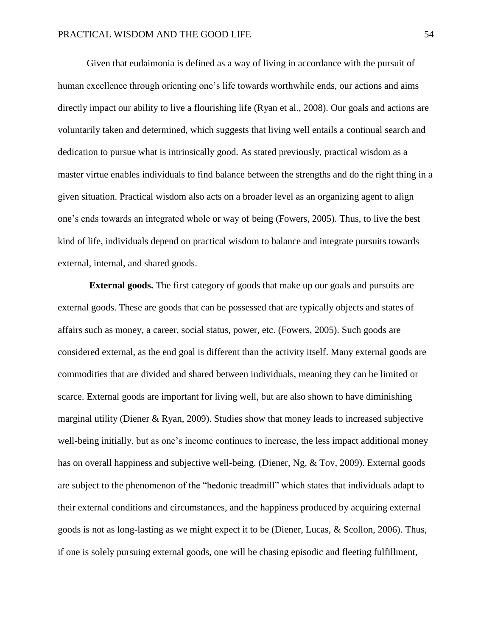Given that eudaimonia is defined as a way of living in accordance with the pursuit of human excellence through orienting one's life towards worthwhile ends, our actions and aims directly impact our ability to live a flourishing life (Ryan et al., 2008). Our goals and actions are voluntarily taken and determined, which suggests that living well entails a continual search and dedication to pursue what is intrinsically good. As stated previously, practical wisdom as a master virtue enables individuals to find balance between the strengths and do the right thing in a given situation. Practical wisdom also acts on a broader level as an organizing agent to align one's ends towards an integrated whole or way of being (Fowers, 2005). Thus, to live the best kind of life, individuals depend on practical wisdom to balance and integrate pursuits towards external, internal, and shared goods.

**External goods.** The first category of goods that make up our goals and pursuits are external goods. These are goods that can be possessed that are typically objects and states of affairs such as money, a career, social status, power, etc. (Fowers, 2005). Such goods are considered external, as the end goal is different than the activity itself. Many external goods are commodities that are divided and shared between individuals, meaning they can be limited or scarce. External goods are important for living well, but are also shown to have diminishing marginal utility (Diener & Ryan, 2009). Studies show that money leads to increased subjective well-being initially, but as one's income continues to increase, the less impact additional money has on overall happiness and subjective well-being. (Diener, Ng, & Tov, 2009). External goods are subject to the phenomenon of the "hedonic treadmill" which states that individuals adapt to their external conditions and circumstances, and the happiness produced by acquiring external goods is not as long-lasting as we might expect it to be (Diener, Lucas, & Scollon, 2006). Thus, if one is solely pursuing external goods, one will be chasing episodic and fleeting fulfillment,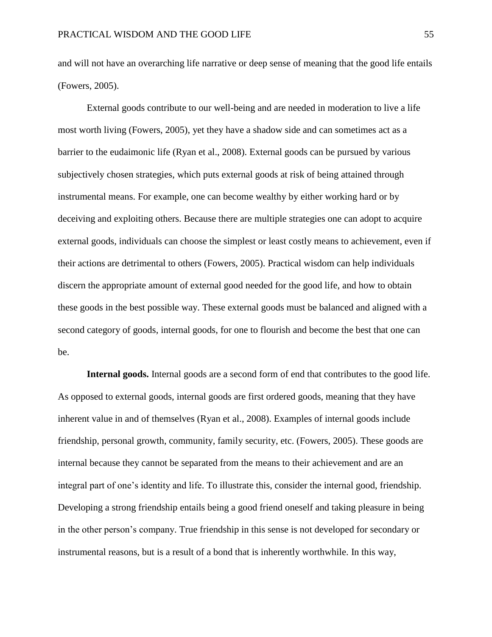and will not have an overarching life narrative or deep sense of meaning that the good life entails (Fowers, 2005).

External goods contribute to our well-being and are needed in moderation to live a life most worth living (Fowers, 2005), yet they have a shadow side and can sometimes act as a barrier to the eudaimonic life (Ryan et al., 2008). External goods can be pursued by various subjectively chosen strategies, which puts external goods at risk of being attained through instrumental means. For example, one can become wealthy by either working hard or by deceiving and exploiting others. Because there are multiple strategies one can adopt to acquire external goods, individuals can choose the simplest or least costly means to achievement, even if their actions are detrimental to others (Fowers, 2005). Practical wisdom can help individuals discern the appropriate amount of external good needed for the good life, and how to obtain these goods in the best possible way. These external goods must be balanced and aligned with a second category of goods, internal goods, for one to flourish and become the best that one can be.

**Internal goods.** Internal goods are a second form of end that contributes to the good life. As opposed to external goods, internal goods are first ordered goods, meaning that they have inherent value in and of themselves (Ryan et al., 2008). Examples of internal goods include friendship, personal growth, community, family security, etc. (Fowers, 2005). These goods are internal because they cannot be separated from the means to their achievement and are an integral part of one's identity and life. To illustrate this, consider the internal good, friendship. Developing a strong friendship entails being a good friend oneself and taking pleasure in being in the other person's company. True friendship in this sense is not developed for secondary or instrumental reasons, but is a result of a bond that is inherently worthwhile. In this way,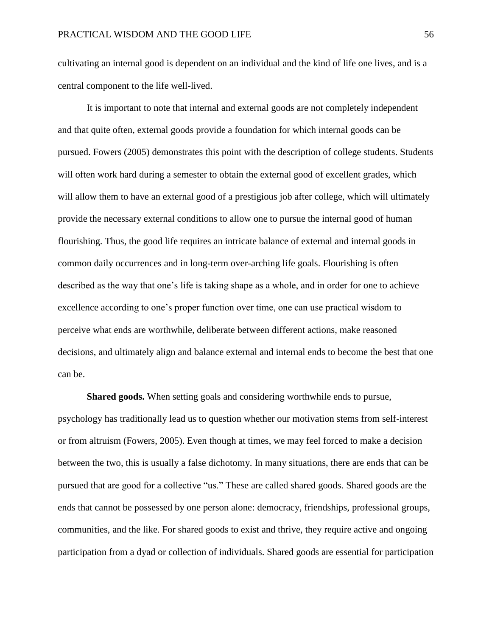cultivating an internal good is dependent on an individual and the kind of life one lives, and is a central component to the life well-lived.

It is important to note that internal and external goods are not completely independent and that quite often, external goods provide a foundation for which internal goods can be pursued. Fowers (2005) demonstrates this point with the description of college students. Students will often work hard during a semester to obtain the external good of excellent grades, which will allow them to have an external good of a prestigious job after college, which will ultimately provide the necessary external conditions to allow one to pursue the internal good of human flourishing. Thus, the good life requires an intricate balance of external and internal goods in common daily occurrences and in long-term over-arching life goals. Flourishing is often described as the way that one's life is taking shape as a whole, and in order for one to achieve excellence according to one's proper function over time, one can use practical wisdom to perceive what ends are worthwhile, deliberate between different actions, make reasoned decisions, and ultimately align and balance external and internal ends to become the best that one can be.

**Shared goods.** When setting goals and considering worthwhile ends to pursue, psychology has traditionally lead us to question whether our motivation stems from self-interest or from altruism (Fowers, 2005). Even though at times, we may feel forced to make a decision between the two, this is usually a false dichotomy. In many situations, there are ends that can be pursued that are good for a collective "us." These are called shared goods. Shared goods are the ends that cannot be possessed by one person alone: democracy, friendships, professional groups, communities, and the like. For shared goods to exist and thrive, they require active and ongoing participation from a dyad or collection of individuals. Shared goods are essential for participation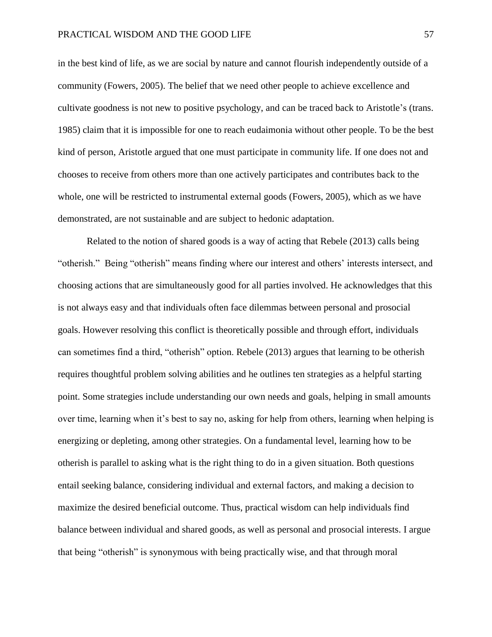in the best kind of life, as we are social by nature and cannot flourish independently outside of a community (Fowers, 2005). The belief that we need other people to achieve excellence and cultivate goodness is not new to positive psychology, and can be traced back to Aristotle's (trans. 1985) claim that it is impossible for one to reach eudaimonia without other people. To be the best kind of person, Aristotle argued that one must participate in community life. If one does not and chooses to receive from others more than one actively participates and contributes back to the whole, one will be restricted to instrumental external goods (Fowers, 2005), which as we have demonstrated, are not sustainable and are subject to hedonic adaptation.

Related to the notion of shared goods is a way of acting that Rebele (2013) calls being "otherish." Being "otherish" means finding where our interest and others' interests intersect, and choosing actions that are simultaneously good for all parties involved. He acknowledges that this is not always easy and that individuals often face dilemmas between personal and prosocial goals. However resolving this conflict is theoretically possible and through effort, individuals can sometimes find a third, "otherish" option. Rebele (2013) argues that learning to be otherish requires thoughtful problem solving abilities and he outlines ten strategies as a helpful starting point. Some strategies include understanding our own needs and goals, helping in small amounts over time, learning when it's best to say no, asking for help from others, learning when helping is energizing or depleting, among other strategies. On a fundamental level, learning how to be otherish is parallel to asking what is the right thing to do in a given situation. Both questions entail seeking balance, considering individual and external factors, and making a decision to maximize the desired beneficial outcome. Thus, practical wisdom can help individuals find balance between individual and shared goods, as well as personal and prosocial interests. I argue that being "otherish" is synonymous with being practically wise, and that through moral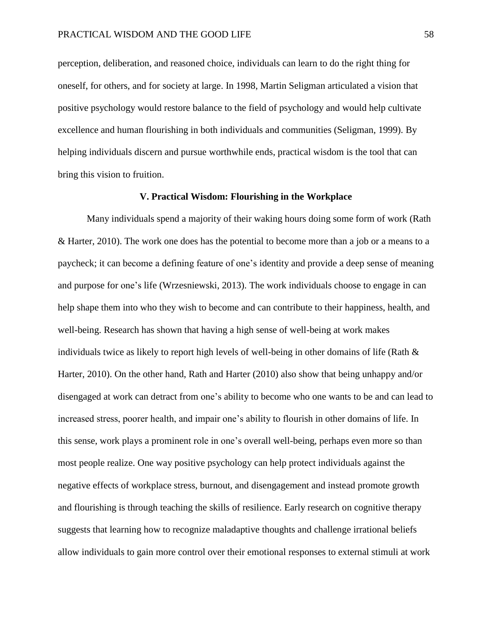perception, deliberation, and reasoned choice, individuals can learn to do the right thing for oneself, for others, and for society at large. In 1998, Martin Seligman articulated a vision that positive psychology would restore balance to the field of psychology and would help cultivate excellence and human flourishing in both individuals and communities (Seligman, 1999). By helping individuals discern and pursue worthwhile ends, practical wisdom is the tool that can bring this vision to fruition.

#### **V. Practical Wisdom: Flourishing in the Workplace**

Many individuals spend a majority of their waking hours doing some form of work (Rath & Harter, 2010). The work one does has the potential to become more than a job or a means to a paycheck; it can become a defining feature of one's identity and provide a deep sense of meaning and purpose for one's life (Wrzesniewski, 2013). The work individuals choose to engage in can help shape them into who they wish to become and can contribute to their happiness, health, and well-being. Research has shown that having a high sense of well-being at work makes individuals twice as likely to report high levels of well-being in other domains of life (Rath & Harter, 2010). On the other hand, Rath and Harter (2010) also show that being unhappy and/or disengaged at work can detract from one's ability to become who one wants to be and can lead to increased stress, poorer health, and impair one's ability to flourish in other domains of life. In this sense, work plays a prominent role in one's overall well-being, perhaps even more so than most people realize. One way positive psychology can help protect individuals against the negative effects of workplace stress, burnout, and disengagement and instead promote growth and flourishing is through teaching the skills of resilience. Early research on cognitive therapy suggests that learning how to recognize maladaptive thoughts and challenge irrational beliefs allow individuals to gain more control over their emotional responses to external stimuli at work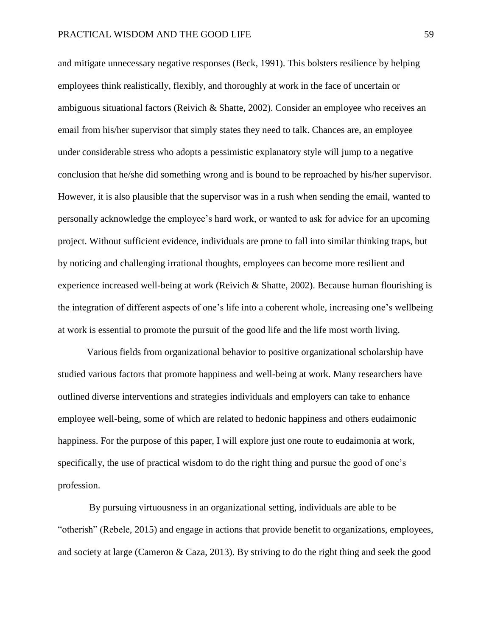and mitigate unnecessary negative responses (Beck, 1991). This bolsters resilience by helping employees think realistically, flexibly, and thoroughly at work in the face of uncertain or ambiguous situational factors (Reivich & Shatte, 2002). Consider an employee who receives an email from his/her supervisor that simply states they need to talk. Chances are, an employee under considerable stress who adopts a pessimistic explanatory style will jump to a negative conclusion that he/she did something wrong and is bound to be reproached by his/her supervisor. However, it is also plausible that the supervisor was in a rush when sending the email, wanted to personally acknowledge the employee's hard work, or wanted to ask for advice for an upcoming project. Without sufficient evidence, individuals are prone to fall into similar thinking traps, but by noticing and challenging irrational thoughts, employees can become more resilient and experience increased well-being at work (Reivich & Shatte, 2002). Because human flourishing is the integration of different aspects of one's life into a coherent whole, increasing one's wellbeing at work is essential to promote the pursuit of the good life and the life most worth living.

Various fields from organizational behavior to positive organizational scholarship have studied various factors that promote happiness and well-being at work. Many researchers have outlined diverse interventions and strategies individuals and employers can take to enhance employee well-being, some of which are related to hedonic happiness and others eudaimonic happiness. For the purpose of this paper, I will explore just one route to eudaimonia at work, specifically, the use of practical wisdom to do the right thing and pursue the good of one's profession.

By pursuing virtuousness in an organizational setting, individuals are able to be "otherish" (Rebele, 2015) and engage in actions that provide benefit to organizations, employees, and society at large (Cameron & Caza, 2013). By striving to do the right thing and seek the good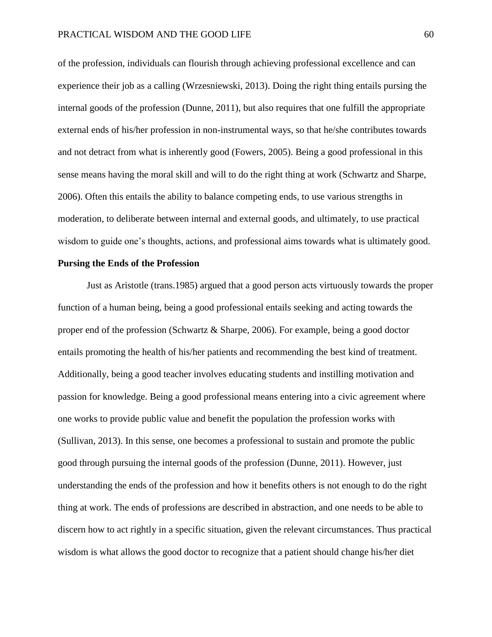of the profession, individuals can flourish through achieving professional excellence and can experience their job as a calling (Wrzesniewski, 2013). Doing the right thing entails pursing the internal goods of the profession (Dunne, 2011), but also requires that one fulfill the appropriate external ends of his/her profession in non-instrumental ways, so that he/she contributes towards and not detract from what is inherently good (Fowers, 2005). Being a good professional in this sense means having the moral skill and will to do the right thing at work (Schwartz and Sharpe, 2006). Often this entails the ability to balance competing ends, to use various strengths in moderation, to deliberate between internal and external goods, and ultimately, to use practical wisdom to guide one's thoughts, actions, and professional aims towards what is ultimately good.

# **Pursing the Ends of the Profession**

Just as Aristotle (trans.1985) argued that a good person acts virtuously towards the proper function of a human being, being a good professional entails seeking and acting towards the proper end of the profession (Schwartz & Sharpe, 2006). For example, being a good doctor entails promoting the health of his/her patients and recommending the best kind of treatment. Additionally, being a good teacher involves educating students and instilling motivation and passion for knowledge. Being a good professional means entering into a civic agreement where one works to provide public value and benefit the population the profession works with (Sullivan, 2013). In this sense, one becomes a professional to sustain and promote the public good through pursuing the internal goods of the profession (Dunne, 2011). However, just understanding the ends of the profession and how it benefits others is not enough to do the right thing at work. The ends of professions are described in abstraction, and one needs to be able to discern how to act rightly in a specific situation, given the relevant circumstances. Thus practical wisdom is what allows the good doctor to recognize that a patient should change his/her diet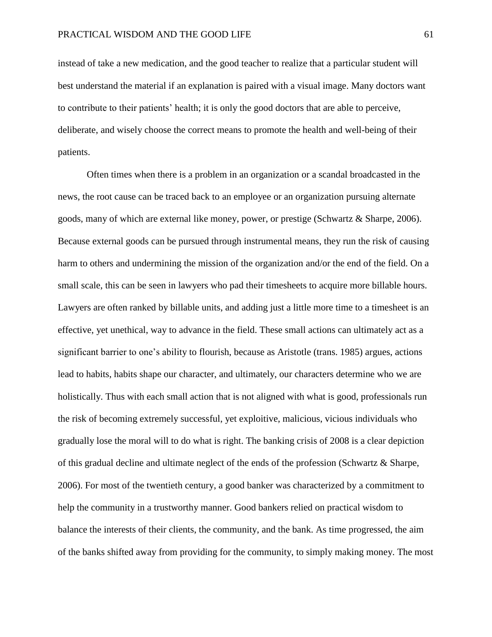instead of take a new medication, and the good teacher to realize that a particular student will best understand the material if an explanation is paired with a visual image. Many doctors want to contribute to their patients' health; it is only the good doctors that are able to perceive, deliberate, and wisely choose the correct means to promote the health and well-being of their patients.

Often times when there is a problem in an organization or a scandal broadcasted in the news, the root cause can be traced back to an employee or an organization pursuing alternate goods, many of which are external like money, power, or prestige (Schwartz & Sharpe, 2006). Because external goods can be pursued through instrumental means, they run the risk of causing harm to others and undermining the mission of the organization and/or the end of the field. On a small scale, this can be seen in lawyers who pad their timesheets to acquire more billable hours. Lawyers are often ranked by billable units, and adding just a little more time to a timesheet is an effective, yet unethical, way to advance in the field. These small actions can ultimately act as a significant barrier to one's ability to flourish, because as Aristotle (trans. 1985) argues, actions lead to habits, habits shape our character, and ultimately, our characters determine who we are holistically. Thus with each small action that is not aligned with what is good, professionals run the risk of becoming extremely successful, yet exploitive, malicious, vicious individuals who gradually lose the moral will to do what is right. The banking crisis of 2008 is a clear depiction of this gradual decline and ultimate neglect of the ends of the profession (Schwartz & Sharpe, 2006). For most of the twentieth century, a good banker was characterized by a commitment to help the community in a trustworthy manner. Good bankers relied on practical wisdom to balance the interests of their clients, the community, and the bank. As time progressed, the aim of the banks shifted away from providing for the community, to simply making money. The most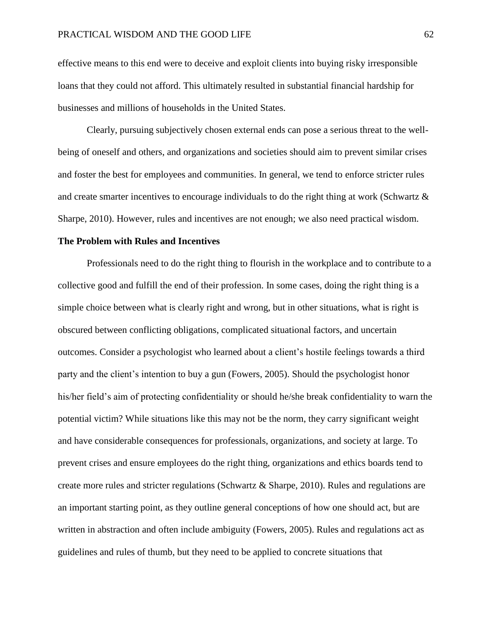effective means to this end were to deceive and exploit clients into buying risky irresponsible loans that they could not afford. This ultimately resulted in substantial financial hardship for businesses and millions of households in the United States.

Clearly, pursuing subjectively chosen external ends can pose a serious threat to the wellbeing of oneself and others, and organizations and societies should aim to prevent similar crises and foster the best for employees and communities. In general, we tend to enforce stricter rules and create smarter incentives to encourage individuals to do the right thing at work (Schwartz & Sharpe, 2010). However, rules and incentives are not enough; we also need practical wisdom.

# **The Problem with Rules and Incentives**

Professionals need to do the right thing to flourish in the workplace and to contribute to a collective good and fulfill the end of their profession. In some cases, doing the right thing is a simple choice between what is clearly right and wrong, but in other situations, what is right is obscured between conflicting obligations, complicated situational factors, and uncertain outcomes. Consider a psychologist who learned about a client's hostile feelings towards a third party and the client's intention to buy a gun (Fowers, 2005). Should the psychologist honor his/her field's aim of protecting confidentiality or should he/she break confidentiality to warn the potential victim? While situations like this may not be the norm, they carry significant weight and have considerable consequences for professionals, organizations, and society at large. To prevent crises and ensure employees do the right thing, organizations and ethics boards tend to create more rules and stricter regulations (Schwartz & Sharpe, 2010). Rules and regulations are an important starting point, as they outline general conceptions of how one should act, but are written in abstraction and often include ambiguity (Fowers, 2005). Rules and regulations act as guidelines and rules of thumb, but they need to be applied to concrete situations that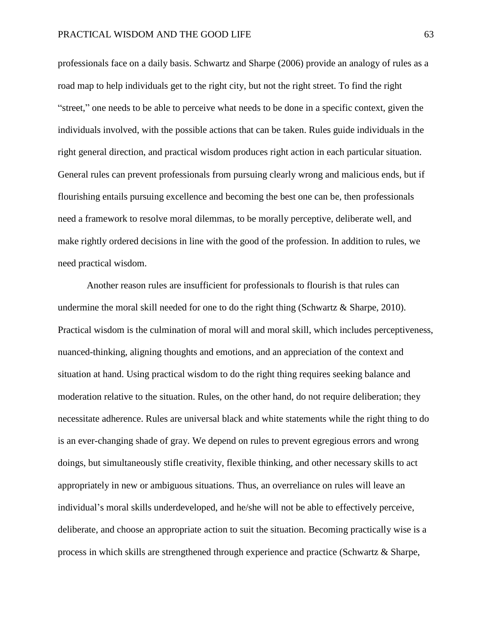professionals face on a daily basis. Schwartz and Sharpe (2006) provide an analogy of rules as a road map to help individuals get to the right city, but not the right street. To find the right "street," one needs to be able to perceive what needs to be done in a specific context, given the individuals involved, with the possible actions that can be taken. Rules guide individuals in the right general direction, and practical wisdom produces right action in each particular situation. General rules can prevent professionals from pursuing clearly wrong and malicious ends, but if flourishing entails pursuing excellence and becoming the best one can be, then professionals need a framework to resolve moral dilemmas, to be morally perceptive, deliberate well, and make rightly ordered decisions in line with the good of the profession. In addition to rules, we need practical wisdom.

Another reason rules are insufficient for professionals to flourish is that rules can undermine the moral skill needed for one to do the right thing (Schwartz & Sharpe, 2010). Practical wisdom is the culmination of moral will and moral skill, which includes perceptiveness, nuanced-thinking, aligning thoughts and emotions, and an appreciation of the context and situation at hand. Using practical wisdom to do the right thing requires seeking balance and moderation relative to the situation. Rules, on the other hand, do not require deliberation; they necessitate adherence. Rules are universal black and white statements while the right thing to do is an ever-changing shade of gray. We depend on rules to prevent egregious errors and wrong doings, but simultaneously stifle creativity, flexible thinking, and other necessary skills to act appropriately in new or ambiguous situations. Thus, an overreliance on rules will leave an individual's moral skills underdeveloped, and he/she will not be able to effectively perceive, deliberate, and choose an appropriate action to suit the situation. Becoming practically wise is a process in which skills are strengthened through experience and practice (Schwartz & Sharpe,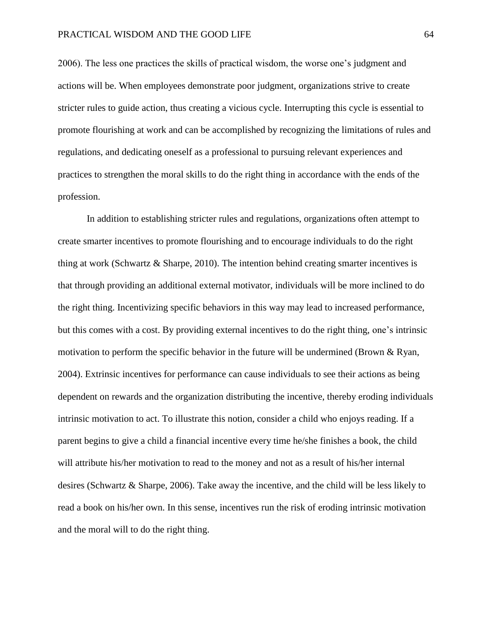2006). The less one practices the skills of practical wisdom, the worse one's judgment and actions will be. When employees demonstrate poor judgment, organizations strive to create stricter rules to guide action, thus creating a vicious cycle. Interrupting this cycle is essential to promote flourishing at work and can be accomplished by recognizing the limitations of rules and regulations, and dedicating oneself as a professional to pursuing relevant experiences and practices to strengthen the moral skills to do the right thing in accordance with the ends of the profession.

In addition to establishing stricter rules and regulations, organizations often attempt to create smarter incentives to promote flourishing and to encourage individuals to do the right thing at work (Schwartz & Sharpe, 2010). The intention behind creating smarter incentives is that through providing an additional external motivator, individuals will be more inclined to do the right thing. Incentivizing specific behaviors in this way may lead to increased performance, but this comes with a cost. By providing external incentives to do the right thing, one's intrinsic motivation to perform the specific behavior in the future will be undermined (Brown  $\&$  Ryan, 2004). Extrinsic incentives for performance can cause individuals to see their actions as being dependent on rewards and the organization distributing the incentive, thereby eroding individuals intrinsic motivation to act. To illustrate this notion, consider a child who enjoys reading. If a parent begins to give a child a financial incentive every time he/she finishes a book, the child will attribute his/her motivation to read to the money and not as a result of his/her internal desires (Schwartz & Sharpe, 2006). Take away the incentive, and the child will be less likely to read a book on his/her own. In this sense, incentives run the risk of eroding intrinsic motivation and the moral will to do the right thing.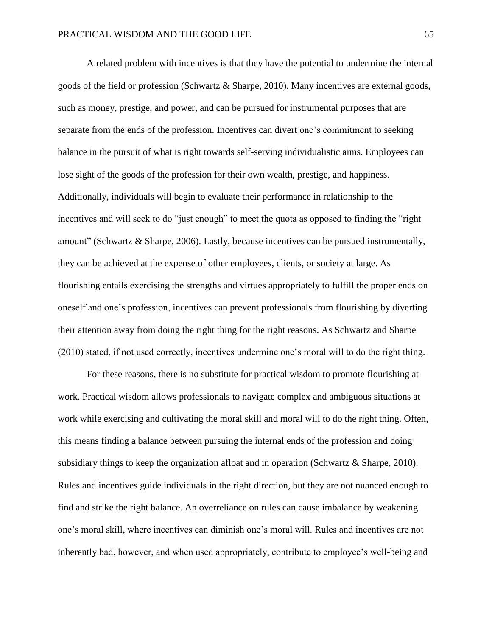A related problem with incentives is that they have the potential to undermine the internal goods of the field or profession (Schwartz & Sharpe, 2010). Many incentives are external goods, such as money, prestige, and power, and can be pursued for instrumental purposes that are separate from the ends of the profession. Incentives can divert one's commitment to seeking balance in the pursuit of what is right towards self-serving individualistic aims. Employees can lose sight of the goods of the profession for their own wealth, prestige, and happiness. Additionally, individuals will begin to evaluate their performance in relationship to the incentives and will seek to do "just enough" to meet the quota as opposed to finding the "right amount" (Schwartz & Sharpe, 2006). Lastly, because incentives can be pursued instrumentally, they can be achieved at the expense of other employees, clients, or society at large. As flourishing entails exercising the strengths and virtues appropriately to fulfill the proper ends on oneself and one's profession, incentives can prevent professionals from flourishing by diverting their attention away from doing the right thing for the right reasons. As Schwartz and Sharpe (2010) stated, if not used correctly, incentives undermine one's moral will to do the right thing.

For these reasons, there is no substitute for practical wisdom to promote flourishing at work. Practical wisdom allows professionals to navigate complex and ambiguous situations at work while exercising and cultivating the moral skill and moral will to do the right thing. Often, this means finding a balance between pursuing the internal ends of the profession and doing subsidiary things to keep the organization afloat and in operation (Schwartz & Sharpe, 2010). Rules and incentives guide individuals in the right direction, but they are not nuanced enough to find and strike the right balance. An overreliance on rules can cause imbalance by weakening one's moral skill, where incentives can diminish one's moral will. Rules and incentives are not inherently bad, however, and when used appropriately, contribute to employee's well-being and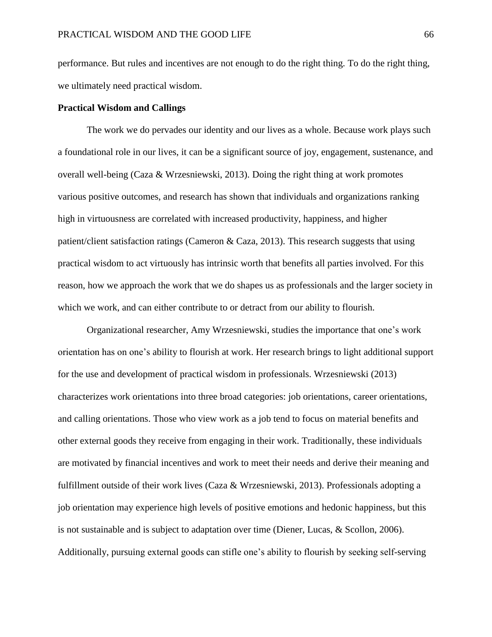performance. But rules and incentives are not enough to do the right thing. To do the right thing, we ultimately need practical wisdom.

# **Practical Wisdom and Callings**

The work we do pervades our identity and our lives as a whole. Because work plays such a foundational role in our lives, it can be a significant source of joy, engagement, sustenance, and overall well-being (Caza & Wrzesniewski, 2013). Doing the right thing at work promotes various positive outcomes, and research has shown that individuals and organizations ranking high in virtuousness are correlated with increased productivity, happiness, and higher patient/client satisfaction ratings (Cameron & Caza, 2013). This research suggests that using practical wisdom to act virtuously has intrinsic worth that benefits all parties involved. For this reason, how we approach the work that we do shapes us as professionals and the larger society in which we work, and can either contribute to or detract from our ability to flourish.

Organizational researcher, Amy Wrzesniewski, studies the importance that one's work orientation has on one's ability to flourish at work. Her research brings to light additional support for the use and development of practical wisdom in professionals. Wrzesniewski (2013) characterizes work orientations into three broad categories: job orientations, career orientations, and calling orientations. Those who view work as a job tend to focus on material benefits and other external goods they receive from engaging in their work. Traditionally, these individuals are motivated by financial incentives and work to meet their needs and derive their meaning and fulfillment outside of their work lives (Caza & Wrzesniewski, 2013). Professionals adopting a job orientation may experience high levels of positive emotions and hedonic happiness, but this is not sustainable and is subject to adaptation over time (Diener, Lucas, & Scollon, 2006). Additionally, pursuing external goods can stifle one's ability to flourish by seeking self-serving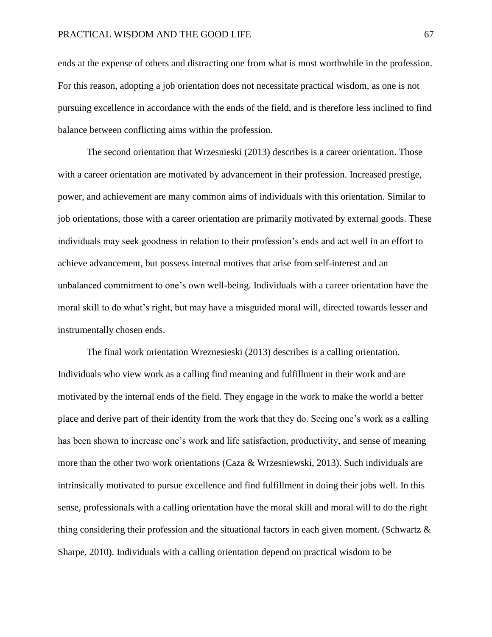ends at the expense of others and distracting one from what is most worthwhile in the profession. For this reason, adopting a job orientation does not necessitate practical wisdom, as one is not pursuing excellence in accordance with the ends of the field, and is therefore less inclined to find balance between conflicting aims within the profession.

The second orientation that Wrzesnieski (2013) describes is a career orientation. Those with a career orientation are motivated by advancement in their profession. Increased prestige, power, and achievement are many common aims of individuals with this orientation. Similar to job orientations, those with a career orientation are primarily motivated by external goods. These individuals may seek goodness in relation to their profession's ends and act well in an effort to achieve advancement, but possess internal motives that arise from self-interest and an unbalanced commitment to one's own well-being. Individuals with a career orientation have the moral skill to do what's right, but may have a misguided moral will, directed towards lesser and instrumentally chosen ends.

The final work orientation Wreznesieski (2013) describes is a calling orientation. Individuals who view work as a calling find meaning and fulfillment in their work and are motivated by the internal ends of the field. They engage in the work to make the world a better place and derive part of their identity from the work that they do. Seeing one's work as a calling has been shown to increase one's work and life satisfaction, productivity, and sense of meaning more than the other two work orientations (Caza & Wrzesniewski, 2013). Such individuals are intrinsically motivated to pursue excellence and find fulfillment in doing their jobs well. In this sense, professionals with a calling orientation have the moral skill and moral will to do the right thing considering their profession and the situational factors in each given moment. (Schwartz & Sharpe, 2010). Individuals with a calling orientation depend on practical wisdom to be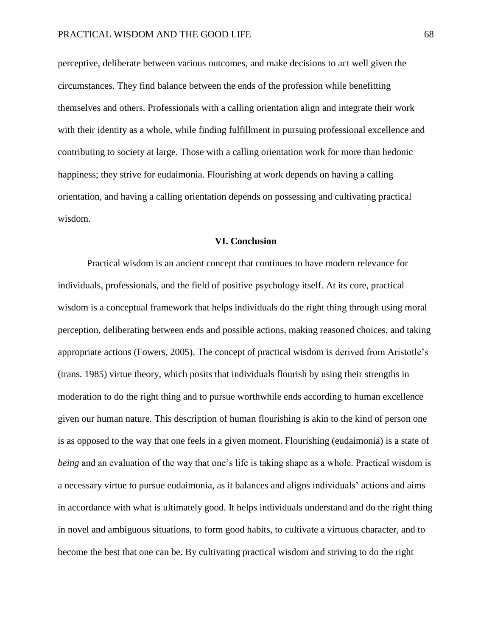perceptive, deliberate between various outcomes, and make decisions to act well given the circumstances. They find balance between the ends of the profession while benefitting themselves and others. Professionals with a calling orientation align and integrate their work with their identity as a whole, while finding fulfillment in pursuing professional excellence and contributing to society at large. Those with a calling orientation work for more than hedonic happiness; they strive for eudaimonia. Flourishing at work depends on having a calling orientation, and having a calling orientation depends on possessing and cultivating practical wisdom.

# **VI. Conclusion**

Practical wisdom is an ancient concept that continues to have modern relevance for individuals, professionals, and the field of positive psychology itself. At its core, practical wisdom is a conceptual framework that helps individuals do the right thing through using moral perception, deliberating between ends and possible actions, making reasoned choices, and taking appropriate actions (Fowers, 2005). The concept of practical wisdom is derived from Aristotle's (trans. 1985) virtue theory, which posits that individuals flourish by using their strengths in moderation to do the right thing and to pursue worthwhile ends according to human excellence given our human nature. This description of human flourishing is akin to the kind of person one is as opposed to the way that one feels in a given moment. Flourishing (eudaimonia) is a state of *being* and an evaluation of the way that one's life is taking shape as a whole. Practical wisdom is a necessary virtue to pursue eudaimonia, as it balances and aligns individuals' actions and aims in accordance with what is ultimately good. It helps individuals understand and do the right thing in novel and ambiguous situations, to form good habits, to cultivate a virtuous character, and to become the best that one can be. By cultivating practical wisdom and striving to do the right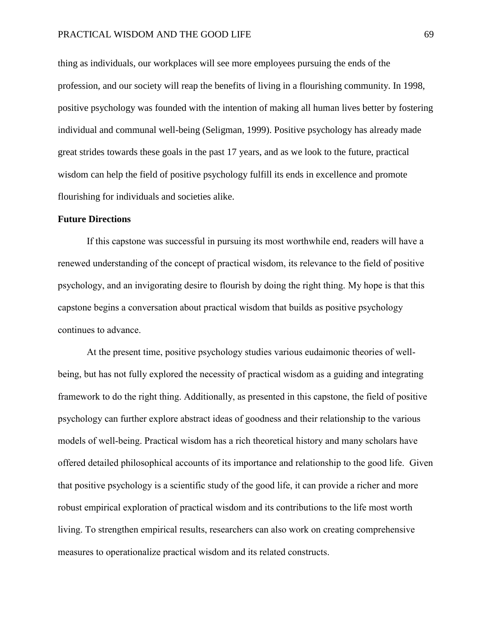thing as individuals, our workplaces will see more employees pursuing the ends of the profession, and our society will reap the benefits of living in a flourishing community. In 1998, positive psychology was founded with the intention of making all human lives better by fostering individual and communal well-being (Seligman, 1999). Positive psychology has already made great strides towards these goals in the past 17 years, and as we look to the future, practical wisdom can help the field of positive psychology fulfill its ends in excellence and promote flourishing for individuals and societies alike.

### **Future Directions**

If this capstone was successful in pursuing its most worthwhile end, readers will have a renewed understanding of the concept of practical wisdom, its relevance to the field of positive psychology, and an invigorating desire to flourish by doing the right thing. My hope is that this capstone begins a conversation about practical wisdom that builds as positive psychology continues to advance.

At the present time, positive psychology studies various eudaimonic theories of wellbeing, but has not fully explored the necessity of practical wisdom as a guiding and integrating framework to do the right thing. Additionally, as presented in this capstone, the field of positive psychology can further explore abstract ideas of goodness and their relationship to the various models of well-being. Practical wisdom has a rich theoretical history and many scholars have offered detailed philosophical accounts of its importance and relationship to the good life. Given that positive psychology is a scientific study of the good life, it can provide a richer and more robust empirical exploration of practical wisdom and its contributions to the life most worth living. To strengthen empirical results, researchers can also work on creating comprehensive measures to operationalize practical wisdom and its related constructs.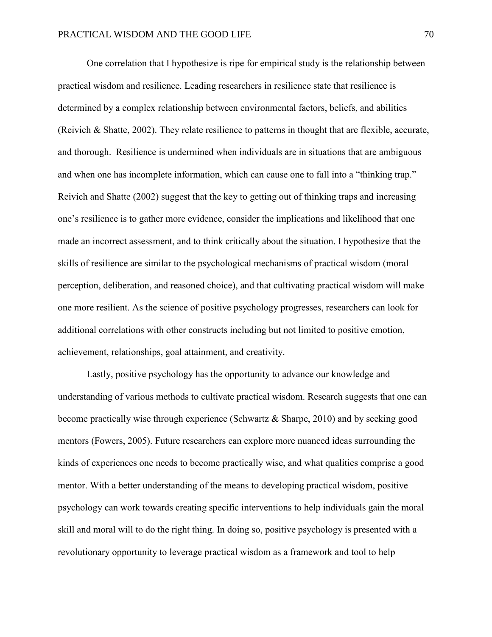One correlation that I hypothesize is ripe for empirical study is the relationship between practical wisdom and resilience. Leading researchers in resilience state that resilience is determined by a complex relationship between environmental factors, beliefs, and abilities (Reivich & Shatte, 2002). They relate resilience to patterns in thought that are flexible, accurate, and thorough. Resilience is undermined when individuals are in situations that are ambiguous and when one has incomplete information, which can cause one to fall into a "thinking trap." Reivich and Shatte (2002) suggest that the key to getting out of thinking traps and increasing one's resilience is to gather more evidence, consider the implications and likelihood that one made an incorrect assessment, and to think critically about the situation. I hypothesize that the skills of resilience are similar to the psychological mechanisms of practical wisdom (moral perception, deliberation, and reasoned choice), and that cultivating practical wisdom will make one more resilient. As the science of positive psychology progresses, researchers can look for additional correlations with other constructs including but not limited to positive emotion, achievement, relationships, goal attainment, and creativity.

Lastly, positive psychology has the opportunity to advance our knowledge and understanding of various methods to cultivate practical wisdom. Research suggests that one can become practically wise through experience (Schwartz & Sharpe, 2010) and by seeking good mentors (Fowers, 2005). Future researchers can explore more nuanced ideas surrounding the kinds of experiences one needs to become practically wise, and what qualities comprise a good mentor. With a better understanding of the means to developing practical wisdom, positive psychology can work towards creating specific interventions to help individuals gain the moral skill and moral will to do the right thing. In doing so, positive psychology is presented with a revolutionary opportunity to leverage practical wisdom as a framework and tool to help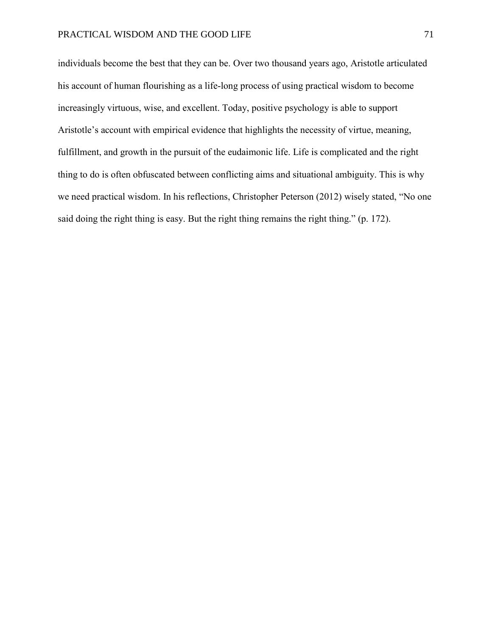individuals become the best that they can be. Over two thousand years ago, Aristotle articulated his account of human flourishing as a life-long process of using practical wisdom to become increasingly virtuous, wise, and excellent. Today, positive psychology is able to support Aristotle's account with empirical evidence that highlights the necessity of virtue, meaning, fulfillment, and growth in the pursuit of the eudaimonic life. Life is complicated and the right thing to do is often obfuscated between conflicting aims and situational ambiguity. This is why we need practical wisdom. In his reflections, Christopher Peterson (2012) wisely stated, "No one said doing the right thing is easy. But the right thing remains the right thing." (p. 172).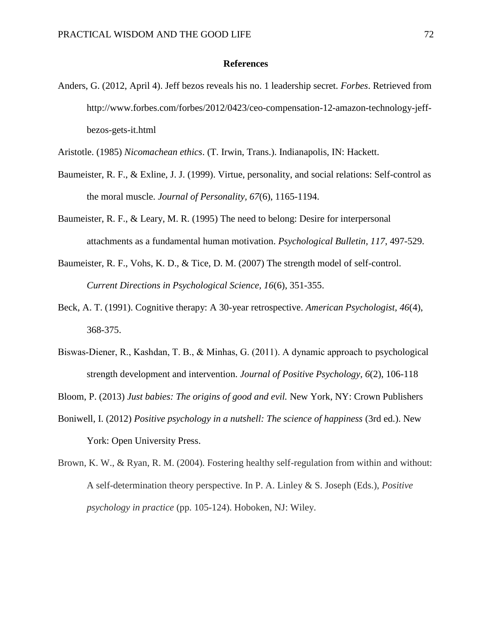#### **References**

Anders, G. (2012, April 4). Jeff bezos reveals his no. 1 leadership secret. *Forbes*. Retrieved from http://www.forbes.com/forbes/2012/0423/ceo-compensation-12-amazon-technology-jeffbezos-gets-it.html

Aristotle. (1985) *Nicomachean ethics*. (T. Irwin, Trans.). Indianapolis, IN: Hackett.

- Baumeister, R. F., & Exline, J. J. (1999). Virtue, personality, and social relations: Self-control as the moral muscle. *Journal of Personality, 67*(6), 1165-1194.
- Baumeister, R. F., & Leary, M. R. (1995) The need to belong: Desire for interpersonal attachments as a fundamental human motivation. *Psychological Bulletin, 117*, 497-529.
- Baumeister, R. F., Vohs, K. D., & Tice, D. M. (2007) The strength model of self-control. *Current Directions in Psychological Science, 16*(6), 351-355.
- Beck, A. T. (1991). Cognitive therapy: A 30-year retrospective. *American Psychologist, 46*(4), 368-375.
- Biswas-Diener, R., Kashdan, T. B., & Minhas, G. (2011). A dynamic approach to psychological strength development and intervention. *Journal of Positive Psychology, 6*(2), 106-118

Bloom, P. (2013) *Just babies: The origins of good and evil.* New York, NY: Crown Publishers

- Boniwell, I. (2012) *Positive psychology in a nutshell: The science of happiness* (3rd ed.). New York: Open University Press.
- Brown, K. W., & Ryan, R. M. (2004). Fostering healthy self-regulation from within and without: A self-determination theory perspective. In P. A. Linley & S. Joseph (Eds.), *Positive psychology in practice* (pp. 105-124). Hoboken, NJ: Wiley.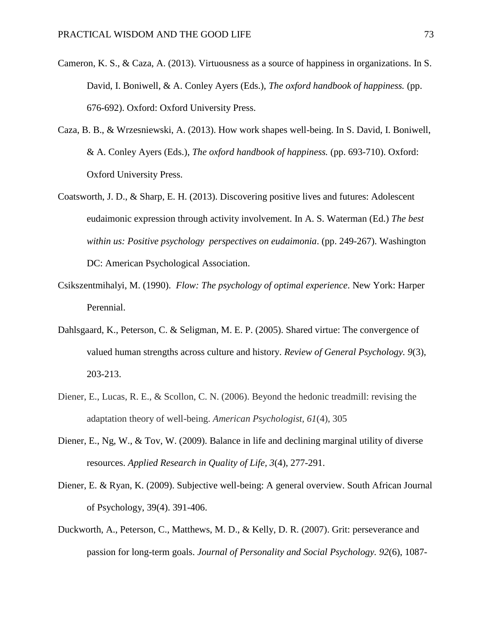- Cameron, K. S., & Caza, A. (2013). Virtuousness as a source of happiness in organizations. In S. David, I. Boniwell, & A. Conley Ayers (Eds.), *The oxford handbook of happiness.* (pp. 676-692). Oxford: Oxford University Press.
- Caza, B. B., & Wrzesniewski, A. (2013). How work shapes well-being. In S. David, I. Boniwell, & A. Conley Ayers (Eds.), *The oxford handbook of happiness.* (pp. 693-710). Oxford: Oxford University Press.
- Coatsworth, J. D., & Sharp, E. H. (2013). Discovering positive lives and futures: Adolescent eudaimonic expression through activity involvement. In A. S. Waterman (Ed.) *The best within us: Positive psychology perspectives on eudaimonia*. (pp. 249-267). Washington DC: American Psychological Association.
- Csikszentmihalyi, M. (1990). *Flow: The psychology of optimal experience*. New York: Harper Perennial.
- Dahlsgaard, K., Peterson, C. & Seligman, M. E. P. (2005). Shared virtue: The convergence of valued human strengths across culture and history. *Review of General Psychology. 9*(3), 203-213.
- Diener, E., Lucas, R. E., & Scollon, C. N. (2006). Beyond the hedonic treadmill: revising the adaptation theory of well-being. *American Psychologist, 61*(4), 305
- Diener, E., Ng, W., & Tov, W. (2009). Balance in life and declining marginal utility of diverse resources. *Applied Research in Quality of Life, 3*(4), 277-291.
- Diener, E. & Ryan, K. (2009). Subjective well-being: A general overview. South African Journal of Psychology, 39(4). 391-406.
- Duckworth, A., Peterson, C., Matthews, M. D., & Kelly, D. R. (2007). Grit: perseverance and passion for long-term goals. *Journal of Personality and Social Psychology. 92*(6), 1087-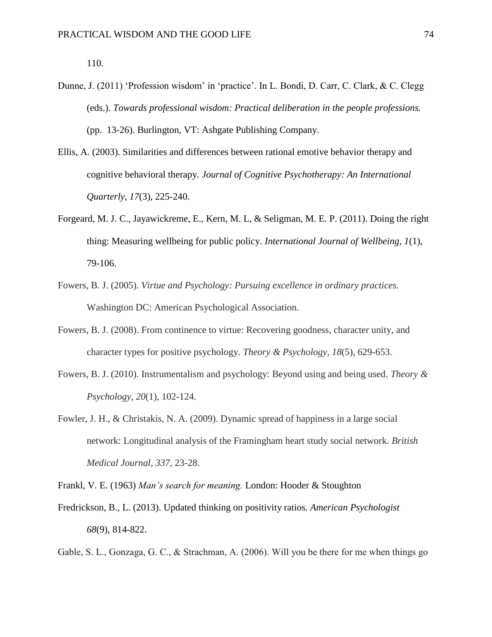110.

- Dunne, J. (2011) 'Profession wisdom' in 'practice'. In L. Bondi, D. Carr, C. Clark, & C. Clegg (eds.). *Towards professional wisdom: Practical deliberation in the people professions.* (pp. 13-26). Burlington, VT: Ashgate Publishing Company.
- Ellis, A. (2003). Similarities and differences between rational emotive behavior therapy and cognitive behavioral therapy. *Journal of Cognitive Psychotherapy: An International Quarterly, 17*(3), 225-240.
- Forgeard, M. J. C., Jayawickreme, E., Kern, M. L, & Seligman, M. E. P. (2011). Doing the right thing: Measuring wellbeing for public policy. *International Journal of Wellbeing, 1*(1), 79-106.
- Fowers, B. J. (2005). *Virtue and Psychology: Pursuing excellence in ordinary practices.* Washington DC: American Psychological Association.
- Fowers, B. J. (2008). From continence to virtue: Recovering goodness, character unity, and character types for positive psychology. *Theory & Psychology, 18*(5), 629-653.
- Fowers, B. J. (2010). Instrumentalism and psychology: Beyond using and being used. *Theory & Psychology, 20*(1), 102-124.
- Fowler, J. H., & Christakis, N. A. (2009). Dynamic spread of happiness in a large social network: Longitudinal analysis of the Framingham heart study social network. *British Medical Journal, 337,* 23-28.

Frankl, V. E. (1963) *Man's search for meaning.* London: Hooder & Stoughton

- Fredrickson, B., L. (2013). Updated thinking on positivity ratios. *American Psychologist 68*(9), 814-822.
- Gable, S. L., Gonzaga, G. C., & Strachman, A. (2006). Will you be there for me when things go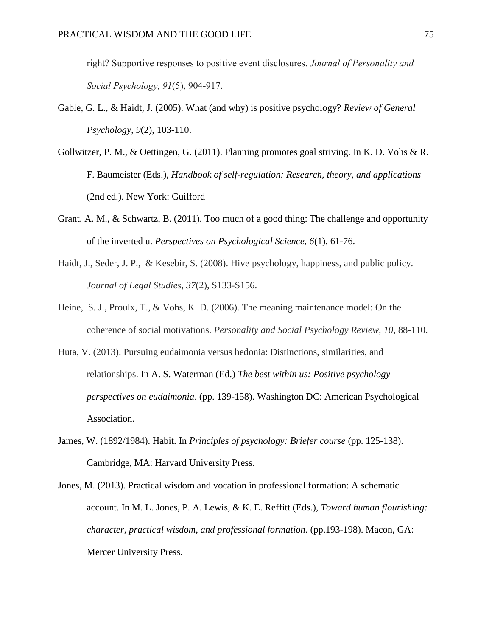right? Supportive responses to positive event disclosures. *Journal of Personality and Social Psychology, 91*(5), 904-917.

- Gable, G. L., & Haidt, J. (2005). What (and why) is positive psychology? *Review of General Psychology, 9*(2), 103-110.
- Gollwitzer, P. M., & Oettingen, G. (2011). Planning promotes goal striving. In K. D. Vohs & R. F. Baumeister (Eds.), *Handbook of self-regulation: Research, theory, and applications*  (2nd ed.). New York: Guilford
- Grant, A. M., & Schwartz, B. (2011). Too much of a good thing: The challenge and opportunity of the inverted u. *Perspectives on Psychological Science, 6*(1), 61-76.
- Haidt, J., Seder, J. P., & Kesebir, S. (2008). Hive psychology, happiness, and public policy. *Journal of Legal Studies, 37*(2), S133-S156.
- Heine, S. J., Proulx, T., & Vohs, K. D. (2006). The meaning maintenance model: On the coherence of social motivations. *Personality and Social Psychology Review, 10*, 88-110.
- Huta, V. (2013). Pursuing eudaimonia versus hedonia: Distinctions, similarities, and relationships. In A. S. Waterman (Ed.) *The best within us: Positive psychology perspectives on eudaimonia*. (pp. 139-158). Washington DC: American Psychological Association.
- James, W. (1892/1984). Habit. In *Principles of psychology: Briefer course* (pp. 125-138). Cambridge, MA: Harvard University Press.
- Jones, M. (2013). Practical wisdom and vocation in professional formation: A schematic account. In M. L. Jones, P. A. Lewis, & K. E. Reffitt (Eds.), *Toward human flourishing: character, practical wisdom, and professional formation.* (pp.193-198). Macon, GA: Mercer University Press.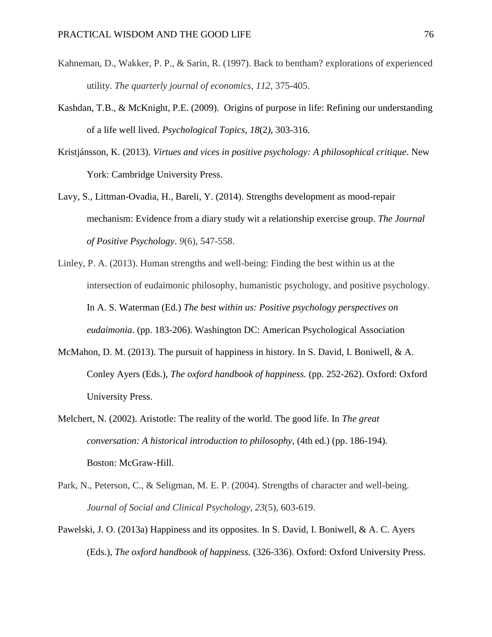- Kahneman, D., Wakker, P. P., & Sarin, R. (1997). Back to bentham? explorations of experienced utility. *The quarterly journal of economics*, *112*, 375-405.
- Kashdan, T.B., & McKnight, P.E. (2009). Origins of purpose in life: Refining our understanding of a life well lived. *Psychological Topics, 18*(2*)*, 303-316.
- Kristjánsson, K. (2013). *Virtues and vices in positive psychology: A philosophical critique*. New York: Cambridge University Press.
- Lavy, S., Littman-Ovadia, H., Bareli, Y. (2014). Strengths development as mood-repair mechanism: Evidence from a diary study wit a relationship exercise group. *The Journal of Positive Psychology*. *9*(6), 547-558.
- Linley, P. A. (2013). Human strengths and well-being: Finding the best within us at the intersection of eudaimonic philosophy, humanistic psychology, and positive psychology. In A. S. Waterman (Ed.) *The best within us: Positive psychology perspectives on eudaimonia*. (pp. 183-206). Washington DC: American Psychological Association
- McMahon, D. M. (2013). The pursuit of happiness in history. In S. David, I. Boniwell, & A. Conley Ayers (Eds.), *The oxford handbook of happiness.* (pp. 252-262). Oxford: Oxford University Press.
- Melchert, N. (2002). Aristotle: The reality of the world. The good life. In *The great conversation: A historical introduction to philosophy*, (4th ed.) (pp. 186-194). Boston: McGraw-Hill.
- Park, N., Peterson, C., & Seligman, M. E. P. (2004). Strengths of character and well-being. *Journal of Social and Clinical Psychology, 23*(5), 603-619.
- Pawelski, J. O. (2013a) Happiness and its opposites. In S. David, I. Boniwell, & A. C. Ayers (Eds.), *The oxford handbook of happiness.* (326-336). Oxford: Oxford University Press.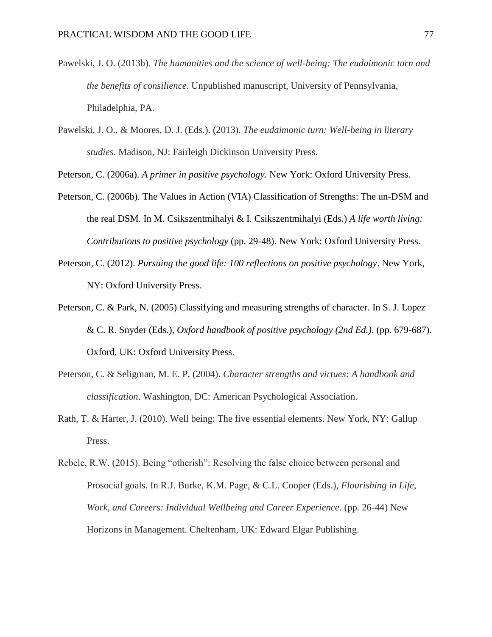- Pawelski, J. O. (2013b). *The humanities and the science of well-being: The eudaimonic turn and the benefits of consilience*. Unpublished manuscript, University of Pennsylvania, Philadelphia, PA.
- Pawelski, J. O., & Moores, D. J. (Eds.). (2013). *The eudaimonic turn: Well-being in literary studies*. Madison, NJ: Fairleigh Dickinson University Press.

Peterson, C. (2006a). *A primer in positive psychology.* New York: Oxford University Press.

- Peterson, C. (2006b). The Values in Action (VIA) Classification of Strengths: The un-DSM and the real DSM. In M. Csikszentmihalyi & I. Csikszentmihalyi (Eds.) *A life worth living: Contributions to positive psychology* (pp. 29-48). New York: Oxford University Press.
- Peterson, C. (2012). *Pursuing the good life: 100 reflections on positive psychology*. New York, NY: Oxford University Press.
- Peterson, C. & Park, N. (2005) Classifying and measuring strengths of character. In S. J. Lopez & C. R. Snyder (Eds.), *Oxford handbook of positive psychology (2nd Ed.)*. (pp. 679-687). Oxford, UK: Oxford University Press.
- Peterson, C. & Seligman, M. E. P. (2004). *Character strengths and virtues: A handbook and classification*. Washington, DC: American Psychological Association.
- Rath, T. & Harter, J. (2010). Well being: The five essential elements. New York, NY: Gallup Press.

Rebele, R.W. (2015). Being "otherish": Resolving the false choice between personal and Prosocial goals. In R.J. Burke, K.M. Page, & C.L. Cooper (Eds.), *Flourishing in Life, Work, and Careers: Individual Wellbeing and Career Experience*. (pp. 26-44) New Horizons in Management. Cheltenham, UK: Edward Elgar Publishing.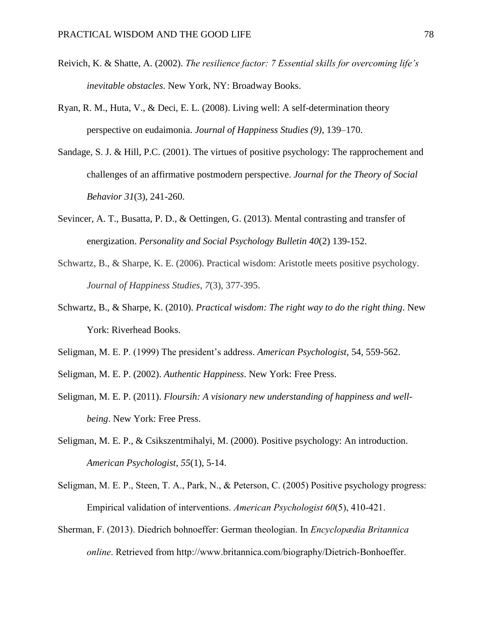- Reivich, K. & Shatte, A. (2002). *The resilience factor: 7 Essential skills for overcoming life's inevitable obstacles*. New York, NY: Broadway Books.
- Ryan, R. M., Huta, V., & Deci, E. L. (2008). Living well: A self-determination theory perspective on eudaimonia. *Journal of Happiness Studies (9)*, 139–170.
- Sandage, S. J. & Hill, P.C. (2001). The virtues of positive psychology: The rapprochement and challenges of an affirmative postmodern perspective. *Journal for the Theory of Social Behavior 31*(3), 241-260.
- Sevincer, A. T., Busatta, P. D., & Oettingen, G. (2013). Mental contrasting and transfer of energization. *Personality and Social Psychology Bulletin 40*(2) 139-152.
- Schwartz, B., & Sharpe, K. E. (2006). Practical wisdom: Aristotle meets positive psychology. *Journal of Happiness Studies*, *7*(3), 377-395.
- Schwartz, B., & Sharpe, K. (2010). *Practical wisdom: The right way to do the right thing*. New York: Riverhead Books.
- Seligman, M. E. P. (1999) The president's address. *American Psychologist*, 54, 559-562.
- Seligman, M. E. P. (2002). *Authentic Happiness*. New York: Free Press.
- Seligman, M. E. P. (2011). *Floursih: A visionary new understanding of happiness and wellbeing*. New York: Free Press.
- Seligman, M. E. P., & Csikszentmihalyi, M. (2000). Positive psychology: An introduction. *American Psychologist*, *55*(1), 5-14.
- Seligman, M. E. P., Steen, T. A., Park, N., & Peterson, C. (2005) Positive psychology progress: Empirical validation of interventions. *American Psychologist 60*(5), 410-421.
- Sherman, F. (2013). Diedrich bohnoeffer: German theologian. In *Encyclopædia Britannica online*. Retrieved from http://www.britannica.com/biography/Dietrich-Bonhoeffer.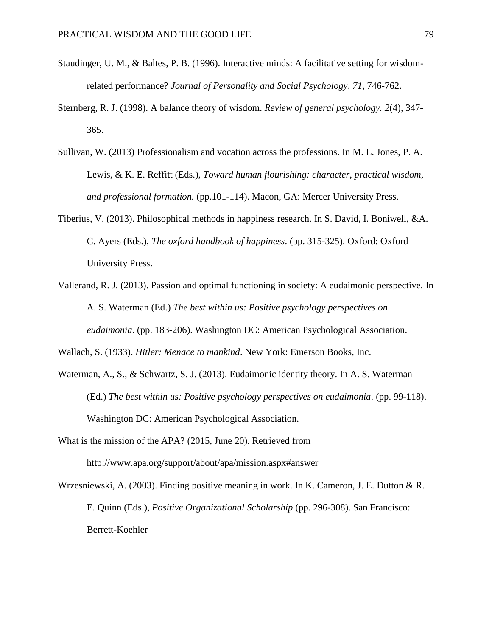- Staudinger, U. M., & Baltes, P. B. (1996). Interactive minds: A facilitative setting for wisdomrelated performance? *Journal of Personality and Social Psychology, 71*, 746-762.
- Sternberg, R. J. (1998). A balance theory of wisdom. *Review of general psychology. 2*(4), 347- 365.
- Sullivan, W. (2013) Professionalism and vocation across the professions. In M. L. Jones, P. A. Lewis, & K. E. Reffitt (Eds.), *Toward human flourishing: character, practical wisdom, and professional formation.* (pp.101-114). Macon, GA: Mercer University Press.
- Tiberius, V. (2013). Philosophical methods in happiness research. In S. David, I. Boniwell, &A. C. Ayers (Eds.), *The oxford handbook of happiness*. (pp. 315-325). Oxford: Oxford University Press.
- Vallerand, R. J. (2013). Passion and optimal functioning in society: A eudaimonic perspective. In A. S. Waterman (Ed.) *The best within us: Positive psychology perspectives on eudaimonia*. (pp. 183-206). Washington DC: American Psychological Association.

Wallach, S. (1933). *Hitler: Menace to mankind*. New York: Emerson Books, Inc.

- Waterman, A., S., & Schwartz, S. J. (2013). Eudaimonic identity theory. In A. S. Waterman (Ed.) *The best within us: Positive psychology perspectives on eudaimonia*. (pp. 99-118). Washington DC: American Psychological Association.
- What is the mission of the APA? (2015, June 20). Retrieved from http://www.apa.org/support/about/apa/mission.aspx#answer
- Wrzesniewski, A. (2003). Finding positive meaning in work. In K. Cameron, J. E. Dutton & R. E. Quinn (Eds.), *Positive Organizational Scholarship* (pp. 296-308). San Francisco: Berrett-Koehler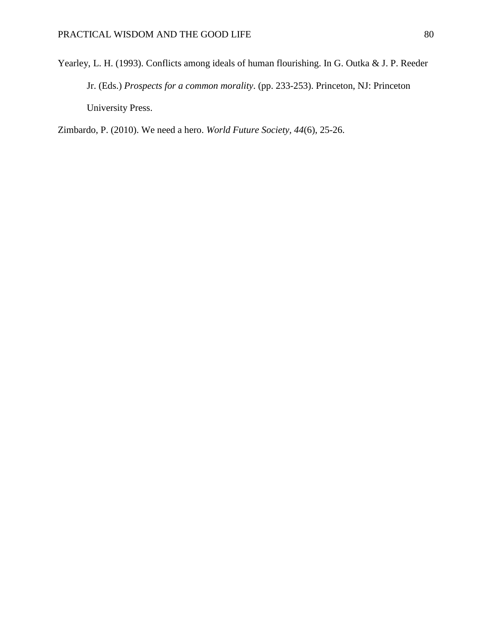Yearley, L. H. (1993). Conflicts among ideals of human flourishing. In G. Outka & J. P. Reeder Jr. (Eds.) *Prospects for a common morality*. (pp. 233-253). Princeton, NJ: Princeton University Press.

Zimbardo, P. (2010). We need a hero. *World Future Society, 44*(6), 25-26.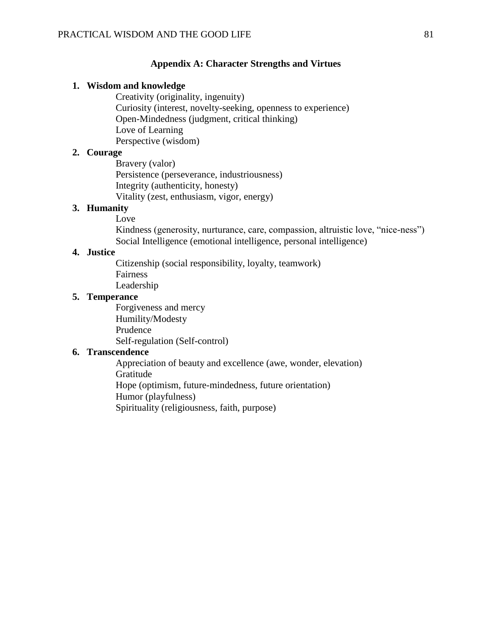#### **Appendix A: Character Strengths and Virtues**

#### **1. Wisdom and knowledge**

Creativity (originality, ingenuity) Curiosity (interest, novelty-seeking, openness to experience) Open-Mindedness (judgment, critical thinking) Love of Learning Perspective (wisdom)

# **2. Courage**

Bravery (valor) Persistence (perseverance, industriousness) Integrity (authenticity, honesty) Vitality (zest, enthusiasm, vigor, energy)

# **3. Humanity**

Love Kindness (generosity, nurturance, care, compassion, altruistic love, "nice-ness") Social Intelligence (emotional intelligence, personal intelligence)

## **4. Justice**

Citizenship (social responsibility, loyalty, teamwork) Fairness Leadership

#### **5. Temperance**

Forgiveness and mercy Humility/Modesty Prudence Self-regulation (Self-control)

#### **6. Transcendence**

Appreciation of beauty and excellence (awe, wonder, elevation) Gratitude Hope (optimism, future-mindedness, future orientation) Humor (playfulness) Spirituality (religiousness, faith, purpose)